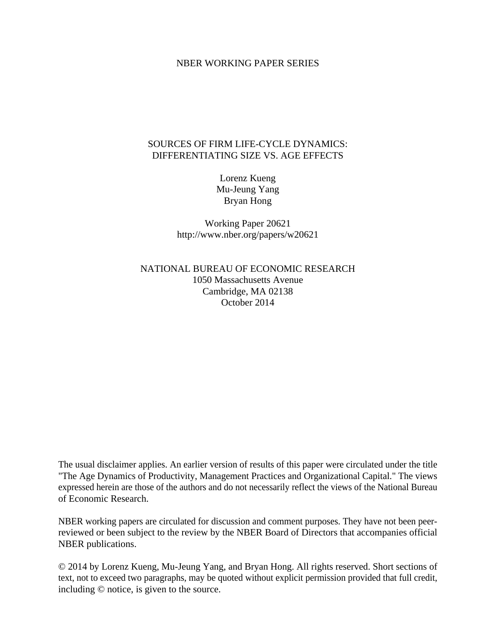#### NBER WORKING PAPER SERIES

### SOURCES OF FIRM LIFE-CYCLE DYNAMICS: DIFFERENTIATING SIZE VS. AGE EFFECTS

Lorenz Kueng Mu-Jeung Yang Bryan Hong

Working Paper 20621 http://www.nber.org/papers/w20621

NATIONAL BUREAU OF ECONOMIC RESEARCH 1050 Massachusetts Avenue Cambridge, MA 02138 October 2014

The usual disclaimer applies. An earlier version of results of this paper were circulated under the title "The Age Dynamics of Productivity, Management Practices and Organizational Capital." The views expressed herein are those of the authors and do not necessarily reflect the views of the National Bureau of Economic Research.

NBER working papers are circulated for discussion and comment purposes. They have not been peerreviewed or been subject to the review by the NBER Board of Directors that accompanies official NBER publications.

© 2014 by Lorenz Kueng, Mu-Jeung Yang, and Bryan Hong. All rights reserved. Short sections of text, not to exceed two paragraphs, may be quoted without explicit permission provided that full credit, including © notice, is given to the source.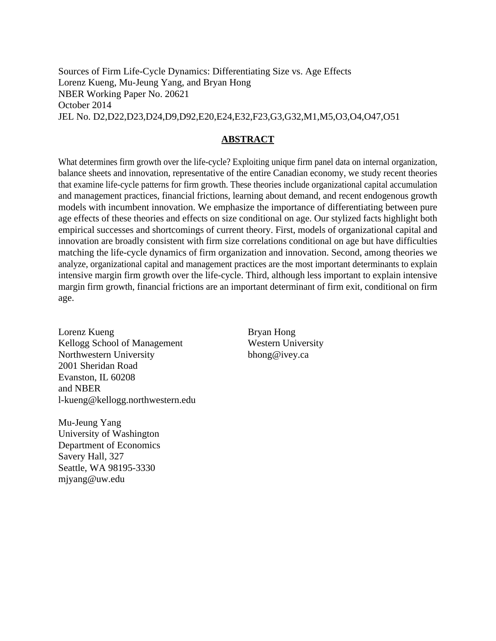Sources of Firm Life-Cycle Dynamics: Differentiating Size vs. Age Effects Lorenz Kueng, Mu-Jeung Yang, and Bryan Hong NBER Working Paper No. 20621 October 2014 JEL No. D2,D22,D23,D24,D9,D92,E20,E24,E32,F23,G3,G32,M1,M5,O3,O4,O47,O51

### **ABSTRACT**

What determines firm growth over the life-cycle? Exploiting unique firm panel data on internal organization, balance sheets and innovation, representative of the entire Canadian economy, we study recent theories that examine life-cycle patterns for firm growth. These theories include organizational capital accumulation and management practices, financial frictions, learning about demand, and recent endogenous growth models with incumbent innovation. We emphasize the importance of differentiating between pure age effects of these theories and effects on size conditional on age. Our stylized facts highlight both empirical successes and shortcomings of current theory. First, models of organizational capital and innovation are broadly consistent with firm size correlations conditional on age but have difficulties matching the life-cycle dynamics of firm organization and innovation. Second, among theories we analyze, organizational capital and management practices are the most important determinants to explain intensive margin firm growth over the life-cycle. Third, although less important to explain intensive margin firm growth, financial frictions are an important determinant of firm exit, conditional on firm age.

Lorenz Kueng Kellogg School of Management Northwestern University 2001 Sheridan Road Evanston, IL 60208 and NBER l-kueng@kellogg.northwestern.edu

Mu-Jeung Yang University of Washington Department of Economics Savery Hall, 327 Seattle, WA 98195-3330 mjyang@uw.edu

Bryan Hong Western University bhong@ivey.ca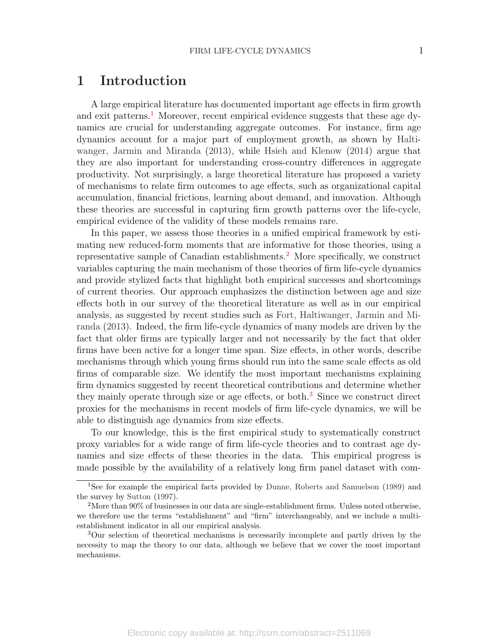## 1 Introduction

A large empirical literature has documented important age effects in firm growth and exit patterns.<sup>[1](#page-2-0)</sup> Moreover, recent empirical evidence suggests that these age dynamics are crucial for understanding aggregate outcomes. For instance, firm age dynamics account for a major part of employment growth, as shown by [Halti](#page-31-0)[wanger, Jarmin and Miranda](#page-31-0) [\(2013\)](#page-31-0), while [Hsieh and Klenow](#page-31-1) [\(2014\)](#page-31-1) argue that they are also important for understanding cross-country differences in aggregate productivity. Not surprisingly, a large theoretical literature has proposed a variety of mechanisms to relate firm outcomes to age effects, such as organizational capital accumulation, financial frictions, learning about demand, and innovation. Although these theories are successful in capturing firm growth patterns over the life-cycle, empirical evidence of the validity of these models remains rare.

In this paper, we assess those theories in a unified empirical framework by estimating new reduced-form moments that are informative for those theories, using a representative sample of Canadian establishments.[2](#page-2-1) More specifically, we construct variables capturing the main mechanism of those theories of firm life-cycle dynamics and provide stylized facts that highlight both empirical successes and shortcomings of current theories. Our approach emphasizes the distinction between age and size effects both in our survey of the theoretical literature as well as in our empirical analysis, as suggested by recent studies such as [Fort, Haltiwanger, Jarmin and Mi](#page-30-0)[randa](#page-30-0) [\(2013\)](#page-30-0). Indeed, the firm life-cycle dynamics of many models are driven by the fact that older firms are typically larger and not necessarily by the fact that older firms have been active for a longer time span. Size effects, in other words, describe mechanisms through which young firms should run into the same scale effects as old firms of comparable size. We identify the most important mechanisms explaining firm dynamics suggested by recent theoretical contributions and determine whether they mainly operate through size or age effects, or both.[3](#page-2-2) Since we construct direct proxies for the mechanisms in recent models of firm life-cycle dynamics, we will be able to distinguish age dynamics from size effects.

To our knowledge, this is the first empirical study to systematically construct proxy variables for a wide range of firm life-cycle theories and to contrast age dynamics and size effects of these theories in the data. This empirical progress is made possible by the availability of a relatively long firm panel dataset with com-

<span id="page-2-0"></span><sup>1</sup>See for example the empirical facts provided by [Dunne, Roberts and Samuelson](#page-30-1) [\(1989\)](#page-30-1) and the survey by [Sutton](#page-31-2) [\(1997\)](#page-31-2).

<span id="page-2-1"></span><sup>2</sup>More than 90% of businesses in our data are single-establishment firms. Unless noted otherwise, we therefore use the terms "establishment" and "firm" interchangeably, and we include a multiestablishment indicator in all our empirical analysis.

<span id="page-2-2"></span><sup>3</sup>Our selection of theoretical mechanisms is necessarily incomplete and partly driven by the necessity to map the theory to our data, although we believe that we cover the most important mechanisms.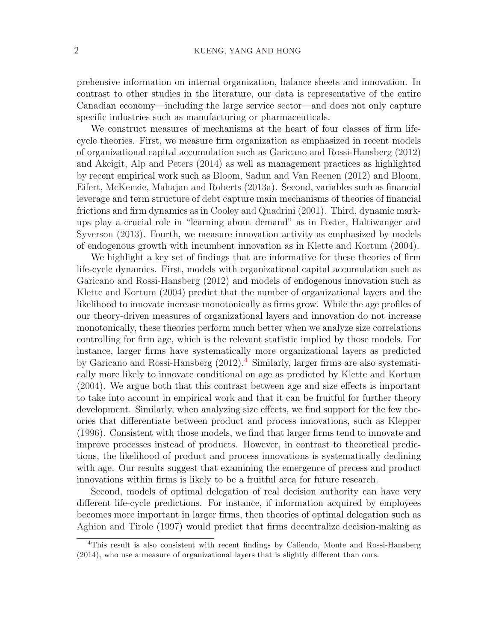prehensive information on internal organization, balance sheets and innovation. In contrast to other studies in the literature, our data is representative of the entire Canadian economy—including the large service sector—and does not only capture specific industries such as manufacturing or pharmaceuticals.

We construct measures of mechanisms at the heart of four classes of firm lifecycle theories. First, we measure firm organization as emphasized in recent models of organizational capital accumulation such as [Garicano and Rossi-Hansberg](#page-31-3) [\(2012\)](#page-31-3) and [Akcigit, Alp and Peters](#page-30-2) [\(2014\)](#page-30-2) as well as management practices as highlighted by recent empirical work such as [Bloom, Sadun and Van Reenen](#page-30-3) [\(2012\)](#page-30-3) and [Bloom,](#page-30-4) [Eifert, McKenzie, Mahajan and Roberts](#page-30-4) [\(2013a\)](#page-30-4). Second, variables such as financial leverage and term structure of debt capture main mechanisms of theories of financial frictions and firm dynamics as in [Cooley and Quadrini](#page-30-5) [\(2001\)](#page-30-5). Third, dynamic markups play a crucial role in "learning about demand" as in [Foster, Haltiwanger and](#page-30-6) [Syverson](#page-30-6) [\(2013\)](#page-30-6). Fourth, we measure innovation activity as emphasized by models of endogenous growth with incumbent innovation as in [Klette and Kortum](#page-31-4) [\(2004\)](#page-31-4).

We highlight a key set of findings that are informative for these theories of firm life-cycle dynamics. First, models with organizational capital accumulation such as [Garicano and Rossi-Hansberg](#page-31-3) [\(2012\)](#page-31-3) and models of endogenous innovation such as [Klette and Kortum](#page-31-4) [\(2004\)](#page-31-4) predict that the number of organizational layers and the likelihood to innovate increase monotonically as firms grow. While the age profiles of our theory-driven measures of organizational layers and innovation do not increase monotonically, these theories perform much better when we analyze size correlations controlling for firm age, which is the relevant statistic implied by those models. For instance, larger firms have systematically more organizational layers as predicted by [Garicano and Rossi-Hansberg](#page-31-3) [\(2012\)](#page-31-3).[4](#page-3-0) Similarly, larger firms are also systematically more likely to innovate conditional on age as predicted by [Klette and Kortum](#page-31-4) [\(2004\)](#page-31-4). We argue both that this contrast between age and size effects is important to take into account in empirical work and that it can be fruitful for further theory development. Similarly, when analyzing size effects, we find support for the few theories that differentiate between product and process innovations, such as [Klepper](#page-31-5) [\(1996\)](#page-31-5). Consistent with those models, we find that larger firms tend to innovate and improve processes instead of products. However, in contrast to theoretical predictions, the likelihood of product and process innovations is systematically declining with age. Our results suggest that examining the emergence of precess and product innovations within firms is likely to be a fruitful area for future research.

Second, models of optimal delegation of real decision authority can have very different life-cycle predictions. For instance, if information acquired by employees becomes more important in larger firms, then theories of optimal delegation such as [Aghion and Tirole](#page-30-7) [\(1997\)](#page-30-7) would predict that firms decentralize decision-making as

<span id="page-3-0"></span><sup>4</sup>This result is also consistent with recent findings by [Caliendo, Monte and Rossi-Hansberg](#page-30-8) [\(2014\)](#page-30-8), who use a measure of organizational layers that is slightly different than ours.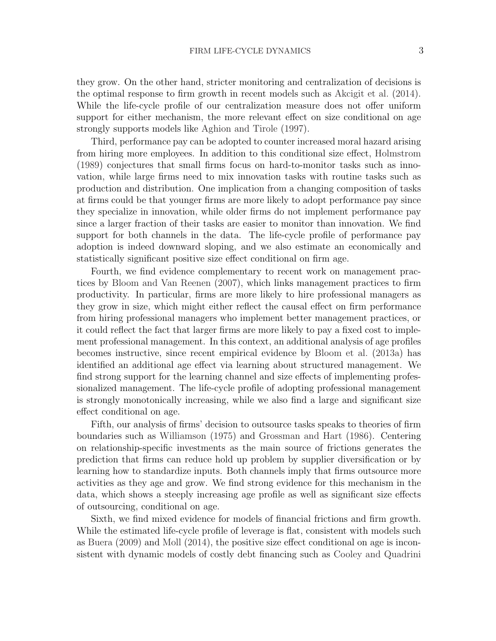they grow. On the other hand, stricter monitoring and centralization of decisions is the optimal response to firm growth in recent models such as [Akcigit et al.](#page-30-2) [\(2014\)](#page-30-2). While the life-cycle profile of our centralization measure does not offer uniform support for either mechanism, the more relevant effect on size conditional on age strongly supports models like [Aghion and Tirole](#page-30-7) [\(1997\)](#page-30-7).

Third, performance pay can be adopted to counter increased moral hazard arising from hiring more employees. In addition to this conditional size effect, [Holmstrom](#page-31-6) [\(1989\)](#page-31-6) conjectures that small firms focus on hard-to-monitor tasks such as innovation, while large firms need to mix innovation tasks with routine tasks such as production and distribution. One implication from a changing composition of tasks at firms could be that younger firms are more likely to adopt performance pay since they specialize in innovation, while older firms do not implement performance pay since a larger fraction of their tasks are easier to monitor than innovation. We find support for both channels in the data. The life-cycle profile of performance pay adoption is indeed downward sloping, and we also estimate an economically and statistically significant positive size effect conditional on firm age.

Fourth, we find evidence complementary to recent work on management practices by [Bloom and Van Reenen](#page-30-9) [\(2007\)](#page-30-9), which links management practices to firm productivity. In particular, firms are more likely to hire professional managers as they grow in size, which might either reflect the causal effect on firm performance from hiring professional managers who implement better management practices, or it could reflect the fact that larger firms are more likely to pay a fixed cost to implement professional management. In this context, an additional analysis of age profiles becomes instructive, since recent empirical evidence by [Bloom et al.](#page-30-4) [\(2013a\)](#page-30-4) has identified an additional age effect via learning about structured management. We find strong support for the learning channel and size effects of implementing professionalized management. The life-cycle profile of adopting professional management is strongly monotonically increasing, while we also find a large and significant size effect conditional on age.

Fifth, our analysis of firms' decision to outsource tasks speaks to theories of firm boundaries such as [Williamson](#page-31-7) [\(1975\)](#page-31-7) and [Grossman and Hart](#page-31-8) [\(1986\)](#page-31-8). Centering on relationship-specific investments as the main source of frictions generates the prediction that firms can reduce hold up problem by supplier diversification or by learning how to standardize inputs. Both channels imply that firms outsource more activities as they age and grow. We find strong evidence for this mechanism in the data, which shows a steeply increasing age profile as well as significant size effects of outsourcing, conditional on age.

Sixth, we find mixed evidence for models of financial frictions and firm growth. While the estimated life-cycle profile of leverage is flat, consistent with models such as [Buera](#page-30-10) [\(2009\)](#page-30-10) and [Moll](#page-31-9) [\(2014\)](#page-31-9), the positive size effect conditional on age is inconsistent with dynamic models of costly debt financing such as [Cooley and Quadrini](#page-30-5)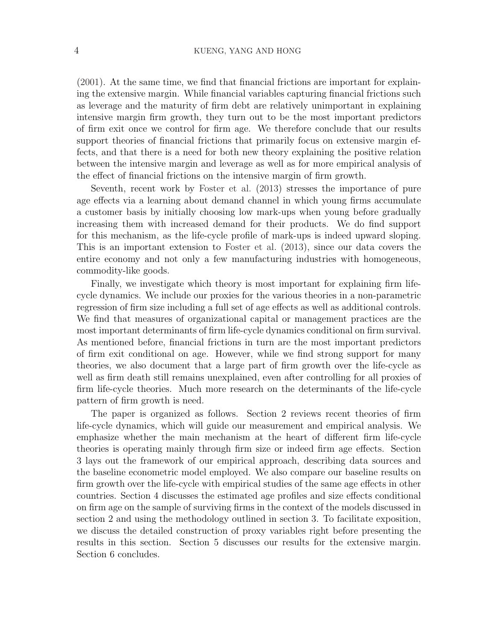[\(2001\)](#page-30-5). At the same time, we find that financial frictions are important for explaining the extensive margin. While financial variables capturing financial frictions such as leverage and the maturity of firm debt are relatively unimportant in explaining intensive margin firm growth, they turn out to be the most important predictors of firm exit once we control for firm age. We therefore conclude that our results support theories of financial frictions that primarily focus on extensive margin effects, and that there is a need for both new theory explaining the positive relation between the intensive margin and leverage as well as for more empirical analysis of the effect of financial frictions on the intensive margin of firm growth.

Seventh, recent work by [Foster et al.](#page-30-6) [\(2013\)](#page-30-6) stresses the importance of pure age effects via a learning about demand channel in which young firms accumulate a customer basis by initially choosing low mark-ups when young before gradually increasing them with increased demand for their products. We do find support for this mechanism, as the life-cycle profile of mark-ups is indeed upward sloping. This is an important extension to [Foster et al.](#page-30-6) [\(2013\)](#page-30-6), since our data covers the entire economy and not only a few manufacturing industries with homogeneous, commodity-like goods.

Finally, we investigate which theory is most important for explaining firm lifecycle dynamics. We include our proxies for the various theories in a non-parametric regression of firm size including a full set of age effects as well as additional controls. We find that measures of organizational capital or management practices are the most important determinants of firm life-cycle dynamics conditional on firm survival. As mentioned before, financial frictions in turn are the most important predictors of firm exit conditional on age. However, while we find strong support for many theories, we also document that a large part of firm growth over the life-cycle as well as firm death still remains unexplained, even after controlling for all proxies of firm life-cycle theories. Much more research on the determinants of the life-cycle pattern of firm growth is need.

The paper is organized as follows. Section 2 reviews recent theories of firm life-cycle dynamics, which will guide our measurement and empirical analysis. We emphasize whether the main mechanism at the heart of different firm life-cycle theories is operating mainly through firm size or indeed firm age effects. Section 3 lays out the framework of our empirical approach, describing data sources and the baseline econometric model employed. We also compare our baseline results on firm growth over the life-cycle with empirical studies of the same age effects in other countries. Section 4 discusses the estimated age profiles and size effects conditional on firm age on the sample of surviving firms in the context of the models discussed in section 2 and using the methodology outlined in section 3. To facilitate exposition, we discuss the detailed construction of proxy variables right before presenting the results in this section. Section 5 discusses our results for the extensive margin. Section 6 concludes.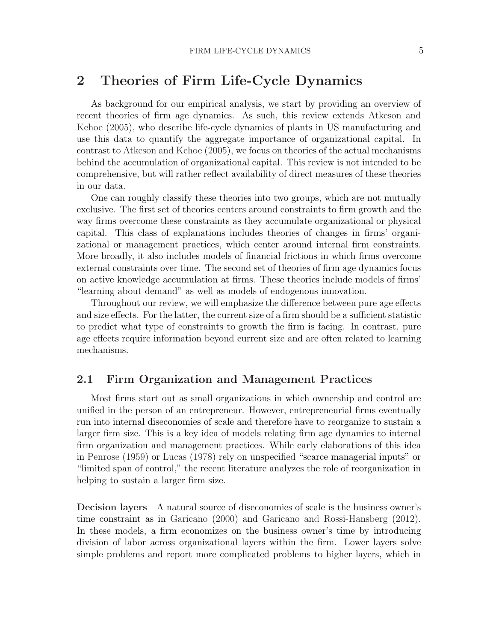## 2 Theories of Firm Life-Cycle Dynamics

As background for our empirical analysis, we start by providing an overview of recent theories of firm age dynamics. As such, this review extends [Atkeson and](#page-30-11) [Kehoe](#page-30-11) [\(2005\)](#page-30-11), who describe life-cycle dynamics of plants in US manufacturing and use this data to quantify the aggregate importance of organizational capital. In contrast to [Atkeson and Kehoe](#page-30-11) [\(2005\)](#page-30-11), we focus on theories of the actual mechanisms behind the accumulation of organizational capital. This review is not intended to be comprehensive, but will rather reflect availability of direct measures of these theories in our data.

One can roughly classify these theories into two groups, which are not mutually exclusive. The first set of theories centers around constraints to firm growth and the way firms overcome these constraints as they accumulate organizational or physical capital. This class of explanations includes theories of changes in firms' organizational or management practices, which center around internal firm constraints. More broadly, it also includes models of financial frictions in which firms overcome external constraints over time. The second set of theories of firm age dynamics focus on active knowledge accumulation at firms. These theories include models of firms' "learning about demand" as well as models of endogenous innovation.

Throughout our review, we will emphasize the difference between pure age effects and size effects. For the latter, the current size of a firm should be a sufficient statistic to predict what type of constraints to growth the firm is facing. In contrast, pure age effects require information beyond current size and are often related to learning mechanisms.

### 2.1 Firm Organization and Management Practices

Most firms start out as small organizations in which ownership and control are unified in the person of an entrepreneur. However, entrepreneurial firms eventually run into internal diseconomies of scale and therefore have to reorganize to sustain a larger firm size. This is a key idea of models relating firm age dynamics to internal firm organization and management practices. While early elaborations of this idea in [Penrose](#page-31-10) [\(1959\)](#page-31-10) or [Lucas](#page-31-11) [\(1978\)](#page-31-11) rely on unspecified "scarce managerial inputs" or "limited span of control," the recent literature analyzes the role of reorganization in helping to sustain a larger firm size.

Decision layers A natural source of diseconomies of scale is the business owner's time constraint as in [Garicano](#page-31-12) [\(2000\)](#page-31-12) and [Garicano and Rossi-Hansberg](#page-31-3) [\(2012\)](#page-31-3). In these models, a firm economizes on the business owner's time by introducing division of labor across organizational layers within the firm. Lower layers solve simple problems and report more complicated problems to higher layers, which in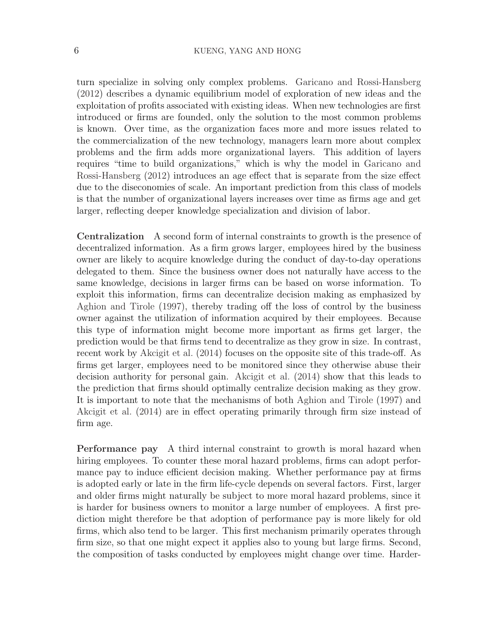turn specialize in solving only complex problems. [Garicano and Rossi-Hansberg](#page-31-3) [\(2012\)](#page-31-3) describes a dynamic equilibrium model of exploration of new ideas and the exploitation of profits associated with existing ideas. When new technologies are first introduced or firms are founded, only the solution to the most common problems is known. Over time, as the organization faces more and more issues related to the commercialization of the new technology, managers learn more about complex problems and the firm adds more organizational layers. This addition of layers requires "time to build organizations," which is why the model in [Garicano and](#page-31-3) [Rossi-Hansberg](#page-31-3) [\(2012\)](#page-31-3) introduces an age effect that is separate from the size effect due to the diseconomies of scale. An important prediction from this class of models is that the number of organizational layers increases over time as firms age and get larger, reflecting deeper knowledge specialization and division of labor.

Centralization A second form of internal constraints to growth is the presence of decentralized information. As a firm grows larger, employees hired by the business owner are likely to acquire knowledge during the conduct of day-to-day operations delegated to them. Since the business owner does not naturally have access to the same knowledge, decisions in larger firms can be based on worse information. To exploit this information, firms can decentralize decision making as emphasized by [Aghion and Tirole](#page-30-7) [\(1997\)](#page-30-7), thereby trading off the loss of control by the business owner against the utilization of information acquired by their employees. Because this type of information might become more important as firms get larger, the prediction would be that firms tend to decentralize as they grow in size. In contrast, recent work by [Akcigit et al.](#page-30-2) [\(2014\)](#page-30-2) focuses on the opposite site of this trade-off. As firms get larger, employees need to be monitored since they otherwise abuse their decision authority for personal gain. [Akcigit et al.](#page-30-2) [\(2014\)](#page-30-2) show that this leads to the prediction that firms should optimally centralize decision making as they grow. It is important to note that the mechanisms of both [Aghion and Tirole](#page-30-7) [\(1997\)](#page-30-7) and [Akcigit et al.](#page-30-2) [\(2014\)](#page-30-2) are in effect operating primarily through firm size instead of firm age.

Performance pay A third internal constraint to growth is moral hazard when hiring employees. To counter these moral hazard problems, firms can adopt performance pay to induce efficient decision making. Whether performance pay at firms is adopted early or late in the firm life-cycle depends on several factors. First, larger and older firms might naturally be subject to more moral hazard problems, since it is harder for business owners to monitor a large number of employees. A first prediction might therefore be that adoption of performance pay is more likely for old firms, which also tend to be larger. This first mechanism primarily operates through firm size, so that one might expect it applies also to young but large firms. Second, the composition of tasks conducted by employees might change over time. Harder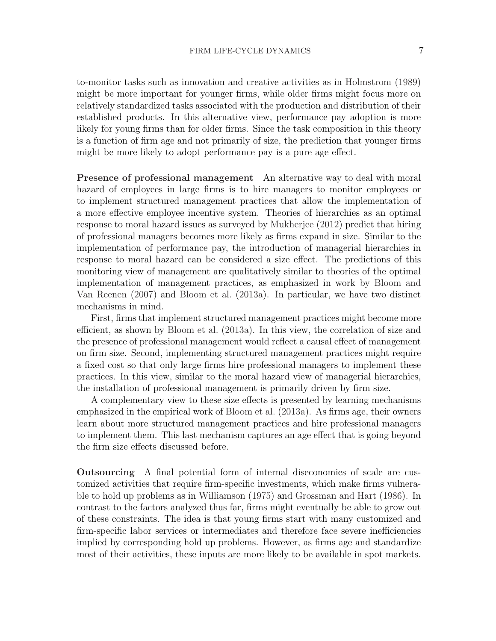to-monitor tasks such as innovation and creative activities as in [Holmstrom](#page-31-6) [\(1989\)](#page-31-6) might be more important for younger firms, while older firms might focus more on relatively standardized tasks associated with the production and distribution of their established products. In this alternative view, performance pay adoption is more likely for young firms than for older firms. Since the task composition in this theory is a function of firm age and not primarily of size, the prediction that younger firms might be more likely to adopt performance pay is a pure age effect.

Presence of professional management An alternative way to deal with moral hazard of employees in large firms is to hire managers to monitor employees or to implement structured management practices that allow the implementation of a more effective employee incentive system. Theories of hierarchies as an optimal response to moral hazard issues as surveyed by [Mukherjee](#page-31-13) [\(2012\)](#page-31-13) predict that hiring of professional managers becomes more likely as firms expand in size. Similar to the implementation of performance pay, the introduction of managerial hierarchies in response to moral hazard can be considered a size effect. The predictions of this monitoring view of management are qualitatively similar to theories of the optimal implementation of management practices, as emphasized in work by [Bloom and](#page-30-9) [Van Reenen](#page-30-9) [\(2007\)](#page-30-9) and [Bloom et al.](#page-30-4) [\(2013a\)](#page-30-4). In particular, we have two distinct mechanisms in mind.

First, firms that implement structured management practices might become more efficient, as shown by [Bloom et al.](#page-30-4) [\(2013a\)](#page-30-4). In this view, the correlation of size and the presence of professional management would reflect a causal effect of management on firm size. Second, implementing structured management practices might require a fixed cost so that only large firms hire professional managers to implement these practices. In this view, similar to the moral hazard view of managerial hierarchies, the installation of professional management is primarily driven by firm size.

A complementary view to these size effects is presented by learning mechanisms emphasized in the empirical work of [Bloom et al.](#page-30-4) [\(2013a\)](#page-30-4). As firms age, their owners learn about more structured management practices and hire professional managers to implement them. This last mechanism captures an age effect that is going beyond the firm size effects discussed before.

Outsourcing A final potential form of internal diseconomies of scale are customized activities that require firm-specific investments, which make firms vulnerable to hold up problems as in [Williamson](#page-31-7) [\(1975\)](#page-31-7) and [Grossman and Hart](#page-31-8) [\(1986\)](#page-31-8). In contrast to the factors analyzed thus far, firms might eventually be able to grow out of these constraints. The idea is that young firms start with many customized and firm-specific labor services or intermediates and therefore face severe inefficiencies implied by corresponding hold up problems. However, as firms age and standardize most of their activities, these inputs are more likely to be available in spot markets.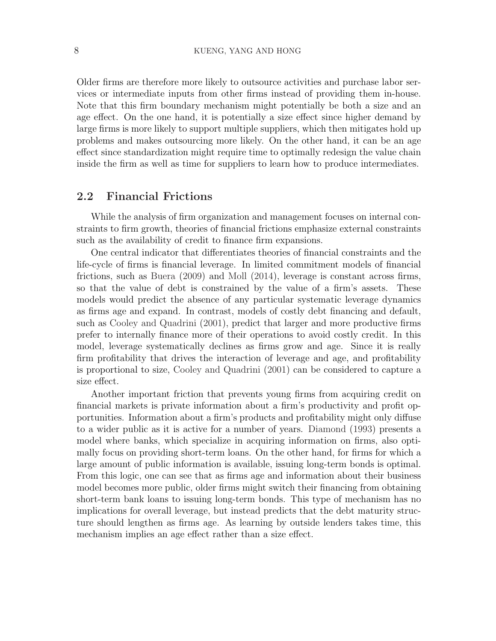Older firms are therefore more likely to outsource activities and purchase labor services or intermediate inputs from other firms instead of providing them in-house. Note that this firm boundary mechanism might potentially be both a size and an age effect. On the one hand, it is potentially a size effect since higher demand by large firms is more likely to support multiple suppliers, which then mitigates hold up problems and makes outsourcing more likely. On the other hand, it can be an age effect since standardization might require time to optimally redesign the value chain inside the firm as well as time for suppliers to learn how to produce intermediates.

### 2.2 Financial Frictions

While the analysis of firm organization and management focuses on internal constraints to firm growth, theories of financial frictions emphasize external constraints such as the availability of credit to finance firm expansions.

One central indicator that differentiates theories of financial constraints and the life-cycle of firms is financial leverage. In limited commitment models of financial frictions, such as [Buera](#page-30-10) [\(2009\)](#page-30-10) and [Moll](#page-31-9) [\(2014\)](#page-31-9), leverage is constant across firms, so that the value of debt is constrained by the value of a firm's assets. These models would predict the absence of any particular systematic leverage dynamics as firms age and expand. In contrast, models of costly debt financing and default, such as [Cooley and Quadrini](#page-30-5) [\(2001\)](#page-30-5), predict that larger and more productive firms prefer to internally finance more of their operations to avoid costly credit. In this model, leverage systematically declines as firms grow and age. Since it is really firm profitability that drives the interaction of leverage and age, and profitability is proportional to size, [Cooley and Quadrini](#page-30-5) [\(2001\)](#page-30-5) can be considered to capture a size effect.

Another important friction that prevents young firms from acquiring credit on financial markets is private information about a firm's productivity and profit opportunities. Information about a firm's products and profitability might only diffuse to a wider public as it is active for a number of years. [Diamond](#page-30-12) [\(1993\)](#page-30-12) presents a model where banks, which specialize in acquiring information on firms, also optimally focus on providing short-term loans. On the other hand, for firms for which a large amount of public information is available, issuing long-term bonds is optimal. From this logic, one can see that as firms age and information about their business model becomes more public, older firms might switch their financing from obtaining short-term bank loans to issuing long-term bonds. This type of mechanism has no implications for overall leverage, but instead predicts that the debt maturity structure should lengthen as firms age. As learning by outside lenders takes time, this mechanism implies an age effect rather than a size effect.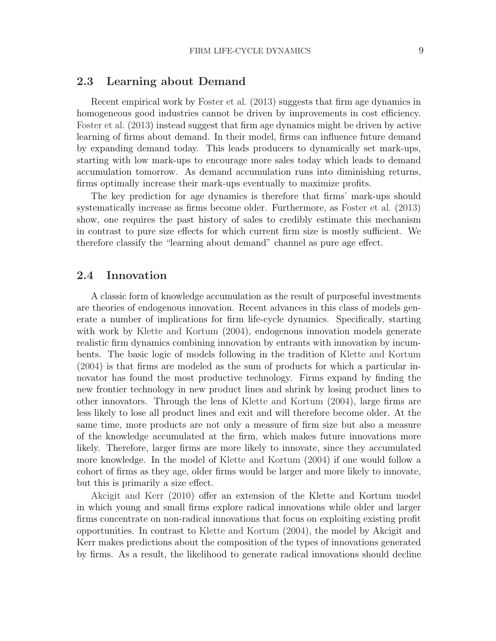### 2.3 Learning about Demand

Recent empirical work by [Foster et al.](#page-30-6) [\(2013\)](#page-30-6) suggests that firm age dynamics in homogeneous good industries cannot be driven by improvements in cost efficiency. [Foster et al.](#page-30-6) [\(2013\)](#page-30-6) instead suggest that firm age dynamics might be driven by active learning of firms about demand. In their model, firms can influence future demand by expanding demand today. This leads producers to dynamically set mark-ups, starting with low mark-ups to encourage more sales today which leads to demand accumulation tomorrow. As demand accumulation runs into diminishing returns, firms optimally increase their mark-ups eventually to maximize profits.

The key prediction for age dynamics is therefore that firms' mark-ups should systematically increase as firms become older. Furthermore, as [Foster et al.](#page-30-6) [\(2013\)](#page-30-6) show, one requires the past history of sales to credibly estimate this mechanism in contrast to pure size effects for which current firm size is mostly sufficient. We therefore classify the "learning about demand" channel as pure age effect.

### 2.4 Innovation

A classic form of knowledge accumulation as the result of purposeful investments are theories of endogenous innovation. Recent advances in this class of models generate a number of implications for firm life-cycle dynamics. Specifically, starting with work by [Klette and Kortum](#page-31-4) [\(2004\)](#page-31-4), endogenous innovation models generate realistic firm dynamics combining innovation by entrants with innovation by incumbents. The basic logic of models following in the tradition of [Klette and Kortum](#page-31-4) [\(2004\)](#page-31-4) is that firms are modeled as the sum of products for which a particular innovator has found the most productive technology. Firms expand by finding the new frontier technology in new product lines and shrink by losing product lines to other innovators. Through the lens of [Klette and Kortum](#page-31-4) [\(2004\)](#page-31-4), large firms are less likely to lose all product lines and exit and will therefore become older. At the same time, more products are not only a measure of firm size but also a measure of the knowledge accumulated at the firm, which makes future innovations more likely. Therefore, larger firms are more likely to innovate, since they accumulated more knowledge. In the model of [Klette and Kortum](#page-31-4) [\(2004\)](#page-31-4) if one would follow a cohort of firms as they age, older firms would be larger and more likely to innovate, but this is primarily a size effect.

[Akcigit and Kerr](#page-30-13) [\(2010\)](#page-30-13) offer an extension of the Klette and Kortum model in which young and small firms explore radical innovations while older and larger firms concentrate on non-radical innovations that focus on exploiting existing profit opportunities. In contrast to [Klette and Kortum](#page-31-4) [\(2004\)](#page-31-4), the model by Akcigit and Kerr makes predictions about the composition of the types of innovations generated by firms. As a result, the likelihood to generate radical innovations should decline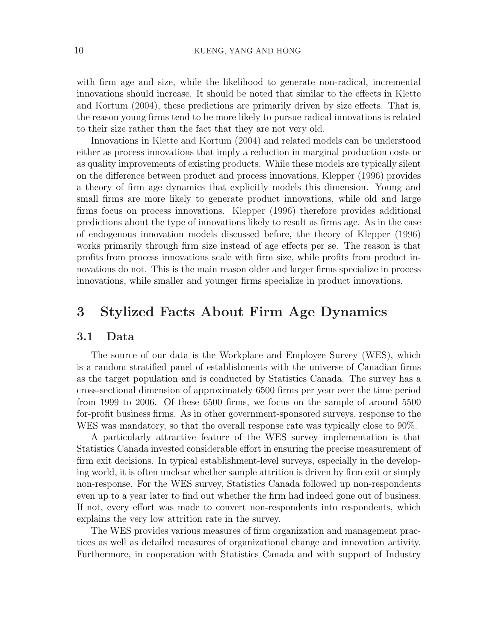with firm age and size, while the likelihood to generate non-radical, incremental innovations should increase. It should be noted that similar to the effects in [Klette](#page-31-4) [and Kortum](#page-31-4) [\(2004\)](#page-31-4), these predictions are primarily driven by size effects. That is, the reason young firms tend to be more likely to pursue radical innovations is related to their size rather than the fact that they are not very old.

Innovations in [Klette and Kortum](#page-31-4) [\(2004\)](#page-31-4) and related models can be understood either as process innovations that imply a reduction in marginal production costs or as quality improvements of existing products. While these models are typically silent on the difference between product and process innovations, [Klepper](#page-31-5) [\(1996\)](#page-31-5) provides a theory of firm age dynamics that explicitly models this dimension. Young and small firms are more likely to generate product innovations, while old and large firms focus on process innovations. [Klepper](#page-31-5) [\(1996\)](#page-31-5) therefore provides additional predictions about the type of innovations likely to result as firms age. As in the case of endogenous innovation models discussed before, the theory of [Klepper](#page-31-5) [\(1996\)](#page-31-5) works primarily through firm size instead of age effects per se. The reason is that profits from process innovations scale with firm size, while profits from product innovations do not. This is the main reason older and larger firms specialize in process innovations, while smaller and younger firms specialize in product innovations.

# 3 Stylized Facts About Firm Age Dynamics

#### 3.1 Data

The source of our data is the Workplace and Employee Survey (WES), which is a random stratified panel of establishments with the universe of Canadian firms as the target population and is conducted by Statistics Canada. The survey has a cross-sectional dimension of approximately 6500 firms per year over the time period from 1999 to 2006. Of these 6500 firms, we focus on the sample of around 5500 for-profit business firms. As in other government-sponsored surveys, response to the WES was mandatory, so that the overall response rate was typically close to 90%.

A particularly attractive feature of the WES survey implementation is that Statistics Canada invested considerable effort in ensuring the precise measurement of firm exit decisions. In typical establishment-level surveys, especially in the developing world, it is often unclear whether sample attrition is driven by firm exit or simply non-response. For the WES survey, Statistics Canada followed up non-respondents even up to a year later to find out whether the firm had indeed gone out of business. If not, every effort was made to convert non-respondents into respondents, which explains the very low attrition rate in the survey.

The WES provides various measures of firm organization and management practices as well as detailed measures of organizational change and innovation activity. Furthermore, in cooperation with Statistics Canada and with support of Industry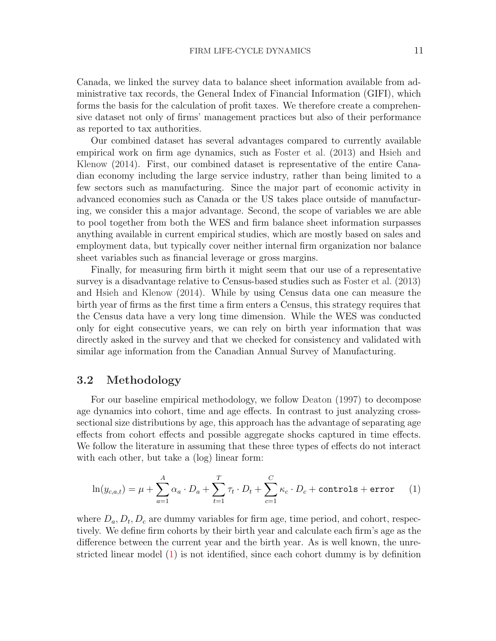Canada, we linked the survey data to balance sheet information available from administrative tax records, the General Index of Financial Information (GIFI), which forms the basis for the calculation of profit taxes. We therefore create a comprehensive dataset not only of firms' management practices but also of their performance as reported to tax authorities.

Our combined dataset has several advantages compared to currently available empirical work on firm age dynamics, such as [Foster et al.](#page-30-6) [\(2013\)](#page-30-6) and [Hsieh and](#page-31-1) [Klenow](#page-31-1) [\(2014\)](#page-31-1). First, our combined dataset is representative of the entire Canadian economy including the large service industry, rather than being limited to a few sectors such as manufacturing. Since the major part of economic activity in advanced economies such as Canada or the US takes place outside of manufacturing, we consider this a major advantage. Second, the scope of variables we are able to pool together from both the WES and firm balance sheet information surpasses anything available in current empirical studies, which are mostly based on sales and employment data, but typically cover neither internal firm organization nor balance sheet variables such as financial leverage or gross margins.

Finally, for measuring firm birth it might seem that our use of a representative survey is a disadvantage relative to Census-based studies such as [Foster et al.](#page-30-6) [\(2013\)](#page-30-6) and [Hsieh and Klenow](#page-31-1) [\(2014\)](#page-31-1). While by using Census data one can measure the birth year of firms as the first time a firm enters a Census, this strategy requires that the Census data have a very long time dimension. While the WES was conducted only for eight consecutive years, we can rely on birth year information that was directly asked in the survey and that we checked for consistency and validated with similar age information from the Canadian Annual Survey of Manufacturing.

### 3.2 Methodology

For our baseline empirical methodology, we follow [Deaton](#page-30-14) [\(1997\)](#page-30-14) to decompose age dynamics into cohort, time and age effects. In contrast to just analyzing crosssectional size distributions by age, this approach has the advantage of separating age effects from cohort effects and possible aggregate shocks captured in time effects. We follow the literature in assuming that these three types of effects do not interact with each other, but take a (log) linear form:

<span id="page-12-0"></span>
$$
\ln(y_{c,a,t}) = \mu + \sum_{a=1}^{A} \alpha_a \cdot D_a + \sum_{t=1}^{T} \tau_t \cdot D_t + \sum_{c=1}^{C} \kappa_c \cdot D_c + \text{controls} + \text{error} \qquad (1)
$$

where  $D_a, D_t, D_c$  are dummy variables for firm age, time period, and cohort, respectively. We define firm cohorts by their birth year and calculate each firm's age as the difference between the current year and the birth year. As is well known, the unrestricted linear model [\(1\)](#page-12-0) is not identified, since each cohort dummy is by definition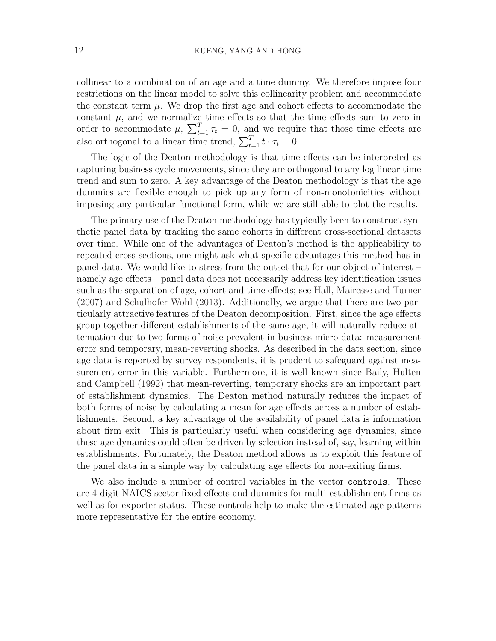collinear to a combination of an age and a time dummy. We therefore impose four restrictions on the linear model to solve this collinearity problem and accommodate the constant term  $\mu$ . We drop the first age and cohort effects to accommodate the constant  $\mu$ , and we normalize time effects so that the time effects sum to zero in order to accommodate  $\mu$ ,  $\sum_{t=1}^{T} \tau_t = 0$ , and we require that those time effects are also orthogonal to a linear time trend,  $\sum_{t=1}^{T} t \cdot \tau_t = 0$ .

The logic of the Deaton methodology is that time effects can be interpreted as capturing business cycle movements, since they are orthogonal to any log linear time trend and sum to zero. A key advantage of the Deaton methodology is that the age dummies are flexible enough to pick up any form of non-monotonicities without imposing any particular functional form, while we are still able to plot the results.

The primary use of the Deaton methodology has typically been to construct synthetic panel data by tracking the same cohorts in different cross-sectional datasets over time. While one of the advantages of Deaton's method is the applicability to repeated cross sections, one might ask what specific advantages this method has in panel data. We would like to stress from the outset that for our object of interest – namely age effects – panel data does not necessarily address key identification issues such as the separation of age, cohort and time effects; see [Hall, Mairesse and Turner](#page-31-14) [\(2007\)](#page-31-14) and [Schulhofer-Wohl](#page-31-15) [\(2013\)](#page-31-15). Additionally, we argue that there are two particularly attractive features of the Deaton decomposition. First, since the age effects group together different establishments of the same age, it will naturally reduce attenuation due to two forms of noise prevalent in business micro-data: measurement error and temporary, mean-reverting shocks. As described in the data section, since age data is reported by survey respondents, it is prudent to safeguard against measurement error in this variable. Furthermore, it is well known since [Baily, Hulten](#page-30-15) [and Campbell](#page-30-15) [\(1992\)](#page-30-15) that mean-reverting, temporary shocks are an important part of establishment dynamics. The Deaton method naturally reduces the impact of both forms of noise by calculating a mean for age effects across a number of establishments. Second, a key advantage of the availability of panel data is information about firm exit. This is particularly useful when considering age dynamics, since these age dynamics could often be driven by selection instead of, say, learning within establishments. Fortunately, the Deaton method allows us to exploit this feature of the panel data in a simple way by calculating age effects for non-exiting firms.

We also include a number of control variables in the vector controls. These are 4-digit NAICS sector fixed effects and dummies for multi-establishment firms as well as for exporter status. These controls help to make the estimated age patterns more representative for the entire economy.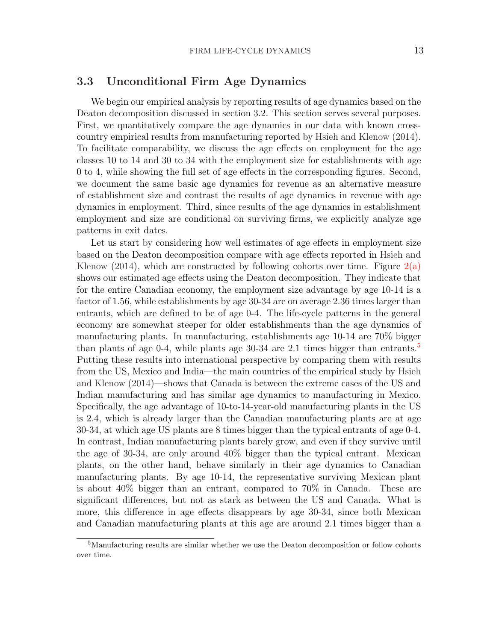### 3.3 Unconditional Firm Age Dynamics

We begin our empirical analysis by reporting results of age dynamics based on the Deaton decomposition discussed in section 3.2. This section serves several purposes. First, we quantitatively compare the age dynamics in our data with known crosscountry empirical results from manufacturing reported by [Hsieh and Klenow](#page-31-1) [\(2014\)](#page-31-1). To facilitate comparability, we discuss the age effects on employment for the age classes 10 to 14 and 30 to 34 with the employment size for establishments with age 0 to 4, while showing the full set of age effects in the corresponding figures. Second, we document the same basic age dynamics for revenue as an alternative measure of establishment size and contrast the results of age dynamics in revenue with age dynamics in employment. Third, since results of the age dynamics in establishment employment and size are conditional on surviving firms, we explicitly analyze age patterns in exit dates.

Let us start by considering how well estimates of age effects in employment size based on the Deaton decomposition compare with age effects reported in [Hsieh and](#page-31-1) [Klenow](#page-31-1) [\(2014\)](#page-31-1), which are constructed by following cohorts over time. Figure  $2(a)$ shows our estimated age effects using the Deaton decomposition. They indicate that for the entire Canadian economy, the employment size advantage by age 10-14 is a factor of 1.56, while establishments by age 30-34 are on average 2.36 times larger than entrants, which are defined to be of age 0-4. The life-cycle patterns in the general economy are somewhat steeper for older establishments than the age dynamics of manufacturing plants. In manufacturing, establishments age 10-14 are 70% bigger than plants of age 0-4, while plants age  $30-34$  are 2.1 times bigger than entrants.<sup>[5](#page-14-0)</sup> Putting these results into international perspective by comparing them with results from the US, Mexico and India—the main countries of the empirical study by [Hsieh](#page-31-1) [and Klenow](#page-31-1) [\(2014\)](#page-31-1)—shows that Canada is between the extreme cases of the US and Indian manufacturing and has similar age dynamics to manufacturing in Mexico. Specifically, the age advantage of 10-to-14-year-old manufacturing plants in the US is 2.4, which is already larger than the Canadian manufacturing plants are at age 30-34, at which age US plants are 8 times bigger than the typical entrants of age 0-4. In contrast, Indian manufacturing plants barely grow, and even if they survive until the age of 30-34, are only around 40% bigger than the typical entrant. Mexican plants, on the other hand, behave similarly in their age dynamics to Canadian manufacturing plants. By age 10-14, the representative surviving Mexican plant is about 40% bigger than an entrant, compared to 70% in Canada. These are significant differences, but not as stark as between the US and Canada. What is more, this difference in age effects disappears by age 30-34, since both Mexican and Canadian manufacturing plants at this age are around 2.1 times bigger than a

<span id="page-14-0"></span><sup>&</sup>lt;sup>5</sup>Manufacturing results are similar whether we use the Deaton decomposition or follow cohorts over time.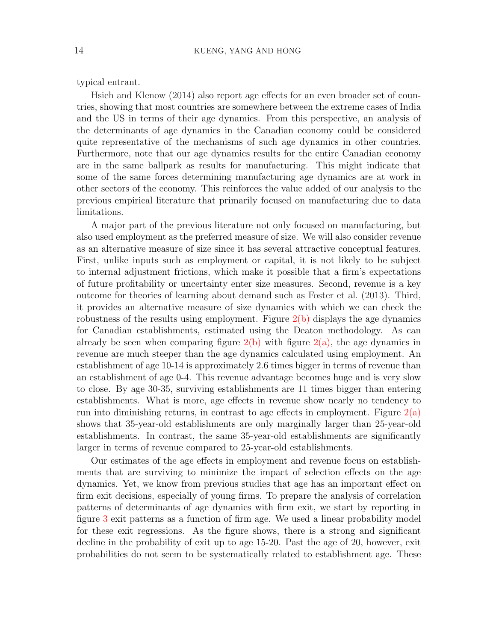typical entrant.

[Hsieh and Klenow](#page-31-1) [\(2014\)](#page-31-1) also report age effects for an even broader set of countries, showing that most countries are somewhere between the extreme cases of India and the US in terms of their age dynamics. From this perspective, an analysis of the determinants of age dynamics in the Canadian economy could be considered quite representative of the mechanisms of such age dynamics in other countries. Furthermore, note that our age dynamics results for the entire Canadian economy are in the same ballpark as results for manufacturing. This might indicate that some of the same forces determining manufacturing age dynamics are at work in other sectors of the economy. This reinforces the value added of our analysis to the previous empirical literature that primarily focused on manufacturing due to data limitations.

A major part of the previous literature not only focused on manufacturing, but also used employment as the preferred measure of size. We will also consider revenue as an alternative measure of size since it has several attractive conceptual features. First, unlike inputs such as employment or capital, it is not likely to be subject to internal adjustment frictions, which make it possible that a firm's expectations of future profitability or uncertainty enter size measures. Second, revenue is a key outcome for theories of learning about demand such as [Foster et al.](#page-30-6) [\(2013\)](#page-30-6). Third, it provides an alternative measure of size dynamics with which we can check the robustness of the results using employment. Figure  $2(b)$  displays the age dynamics for Canadian establishments, estimated using the Deaton methodology. As can already be seen when comparing figure  $2(b)$  with figure  $2(a)$ , the age dynamics in revenue are much steeper than the age dynamics calculated using employment. An establishment of age 10-14 is approximately 2.6 times bigger in terms of revenue than an establishment of age 0-4. This revenue advantage becomes huge and is very slow to close. By age 30-35, surviving establishments are 11 times bigger than entering establishments. What is more, age effects in revenue show nearly no tendency to run into diminishing returns, in contrast to age effects in employment. Figure  $2(a)$ shows that 35-year-old establishments are only marginally larger than 25-year-old establishments. In contrast, the same 35-year-old establishments are significantly larger in terms of revenue compared to 25-year-old establishments.

Our estimates of the age effects in employment and revenue focus on establishments that are surviving to minimize the impact of selection effects on the age dynamics. Yet, we know from previous studies that age has an important effect on firm exit decisions, especially of young firms. To prepare the analysis of correlation patterns of determinants of age dynamics with firm exit, we start by reporting in figure [3](#page-34-0) exit patterns as a function of firm age. We used a linear probability model for these exit regressions. As the figure shows, there is a strong and significant decline in the probability of exit up to age 15-20. Past the age of 20, however, exit probabilities do not seem to be systematically related to establishment age. These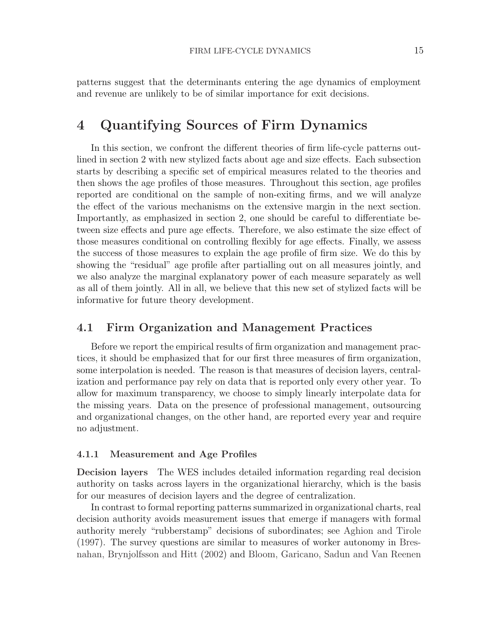patterns suggest that the determinants entering the age dynamics of employment and revenue are unlikely to be of similar importance for exit decisions.

# 4 Quantifying Sources of Firm Dynamics

In this section, we confront the different theories of firm life-cycle patterns outlined in section 2 with new stylized facts about age and size effects. Each subsection starts by describing a specific set of empirical measures related to the theories and then shows the age profiles of those measures. Throughout this section, age profiles reported are conditional on the sample of non-exiting firms, and we will analyze the effect of the various mechanisms on the extensive margin in the next section. Importantly, as emphasized in section 2, one should be careful to differentiate between size effects and pure age effects. Therefore, we also estimate the size effect of those measures conditional on controlling flexibly for age effects. Finally, we assess the success of those measures to explain the age profile of firm size. We do this by showing the "residual" age profile after partialling out on all measures jointly, and we also analyze the marginal explanatory power of each measure separately as well as all of them jointly. All in all, we believe that this new set of stylized facts will be informative for future theory development.

### 4.1 Firm Organization and Management Practices

Before we report the empirical results of firm organization and management practices, it should be emphasized that for our first three measures of firm organization, some interpolation is needed. The reason is that measures of decision layers, centralization and performance pay rely on data that is reported only every other year. To allow for maximum transparency, we choose to simply linearly interpolate data for the missing years. Data on the presence of professional management, outsourcing and organizational changes, on the other hand, are reported every year and require no adjustment.

#### 4.1.1 Measurement and Age Profiles

Decision layers The WES includes detailed information regarding real decision authority on tasks across layers in the organizational hierarchy, which is the basis for our measures of decision layers and the degree of centralization.

In contrast to formal reporting patterns summarized in organizational charts, real decision authority avoids measurement issues that emerge if managers with formal authority merely "rubberstamp" decisions of subordinates; see [Aghion and Tirole](#page-30-7) [\(1997\)](#page-30-7). The survey questions are similar to measures of worker autonomy in [Bres](#page-30-16)[nahan, Brynjolfsson and Hitt](#page-30-16) [\(2002\)](#page-30-16) and [Bloom, Garicano, Sadun and Van Reenen](#page-30-17)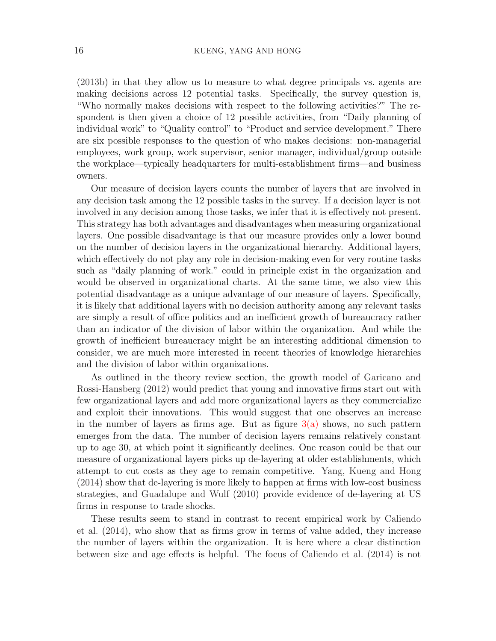[\(2013b\)](#page-30-17) in that they allow us to measure to what degree principals vs. agents are making decisions across 12 potential tasks. Specifically, the survey question is, "Who normally makes decisions with respect to the following activities?" The respondent is then given a choice of 12 possible activities, from "Daily planning of individual work" to "Quality control" to "Product and service development." There are six possible responses to the question of who makes decisions: non-managerial employees, work group, work supervisor, senior manager, individual/group outside the workplace—typically headquarters for multi-establishment firms—and business owners.

Our measure of decision layers counts the number of layers that are involved in any decision task among the 12 possible tasks in the survey. If a decision layer is not involved in any decision among those tasks, we infer that it is effectively not present. This strategy has both advantages and disadvantages when measuring organizational layers. One possible disadvantage is that our measure provides only a lower bound on the number of decision layers in the organizational hierarchy. Additional layers, which effectively do not play any role in decision-making even for very routine tasks such as "daily planning of work." could in principle exist in the organization and would be observed in organizational charts. At the same time, we also view this potential disadvantage as a unique advantage of our measure of layers. Specifically, it is likely that additional layers with no decision authority among any relevant tasks are simply a result of office politics and an inefficient growth of bureaucracy rather than an indicator of the division of labor within the organization. And while the growth of inefficient bureaucracy might be an interesting additional dimension to consider, we are much more interested in recent theories of knowledge hierarchies and the division of labor within organizations.

As outlined in the theory review section, the growth model of [Garicano and](#page-31-3) [Rossi-Hansberg](#page-31-3) [\(2012\)](#page-31-3) would predict that young and innovative firms start out with few organizational layers and add more organizational layers as they commercialize and exploit their innovations. This would suggest that one observes an increase in the number of layers as firms age. But as figure  $3(a)$  shows, no such pattern emerges from the data. The number of decision layers remains relatively constant up to age 30, at which point it significantly declines. One reason could be that our measure of organizational layers picks up de-layering at older establishments, which attempt to cut costs as they age to remain competitive. [Yang, Kueng and Hong](#page-31-16) [\(2014\)](#page-31-16) show that de-layering is more likely to happen at firms with low-cost business strategies, and [Guadalupe and Wulf](#page-31-17) [\(2010\)](#page-31-17) provide evidence of de-layering at US firms in response to trade shocks.

These results seem to stand in contrast to recent empirical work by [Caliendo](#page-30-8) [et al.](#page-30-8) [\(2014\)](#page-30-8), who show that as firms grow in terms of value added, they increase the number of layers within the organization. It is here where a clear distinction between size and age effects is helpful. The focus of [Caliendo et al.](#page-30-8) [\(2014\)](#page-30-8) is not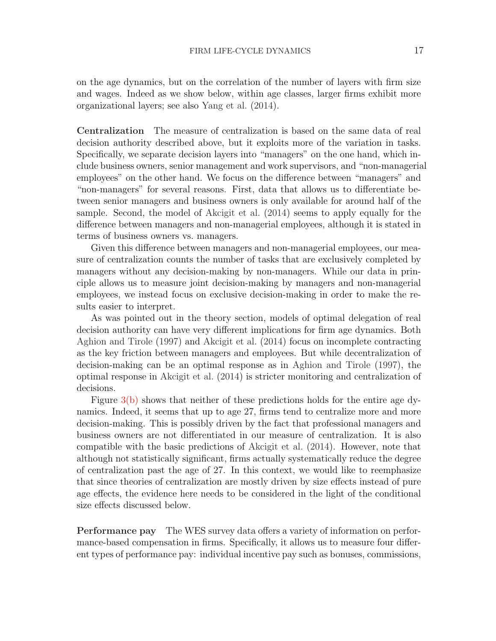on the age dynamics, but on the correlation of the number of layers with firm size and wages. Indeed as we show below, within age classes, larger firms exhibit more organizational layers; see also [Yang et al.](#page-31-16) [\(2014\)](#page-31-16).

Centralization The measure of centralization is based on the same data of real decision authority described above, but it exploits more of the variation in tasks. Specifically, we separate decision layers into "managers" on the one hand, which include business owners, senior management and work supervisors, and "non-managerial employees" on the other hand. We focus on the difference between "managers" and "non-managers" for several reasons. First, data that allows us to differentiate between senior managers and business owners is only available for around half of the sample. Second, the model of [Akcigit et al.](#page-30-2) [\(2014\)](#page-30-2) seems to apply equally for the difference between managers and non-managerial employees, although it is stated in terms of business owners vs. managers.

Given this difference between managers and non-managerial employees, our measure of centralization counts the number of tasks that are exclusively completed by managers without any decision-making by non-managers. While our data in principle allows us to measure joint decision-making by managers and non-managerial employees, we instead focus on exclusive decision-making in order to make the results easier to interpret.

As was pointed out in the theory section, models of optimal delegation of real decision authority can have very different implications for firm age dynamics. Both [Aghion and Tirole](#page-30-7) [\(1997\)](#page-30-7) and [Akcigit et al.](#page-30-2) [\(2014\)](#page-30-2) focus on incomplete contracting as the key friction between managers and employees. But while decentralization of decision-making can be an optimal response as in [Aghion and Tirole](#page-30-7) [\(1997\)](#page-30-7), the optimal response in [Akcigit et al.](#page-30-2) [\(2014\)](#page-30-2) is stricter monitoring and centralization of decisions.

Figure  $3(b)$  shows that neither of these predictions holds for the entire age dynamics. Indeed, it seems that up to age 27, firms tend to centralize more and more decision-making. This is possibly driven by the fact that professional managers and business owners are not differentiated in our measure of centralization. It is also compatible with the basic predictions of [Akcigit et al.](#page-30-2) [\(2014\)](#page-30-2). However, note that although not statistically significant, firms actually systematically reduce the degree of centralization past the age of 27. In this context, we would like to reemphasize that since theories of centralization are mostly driven by size effects instead of pure age effects, the evidence here needs to be considered in the light of the conditional size effects discussed below.

Performance pay The WES survey data offers a variety of information on performance-based compensation in firms. Specifically, it allows us to measure four different types of performance pay: individual incentive pay such as bonuses, commissions,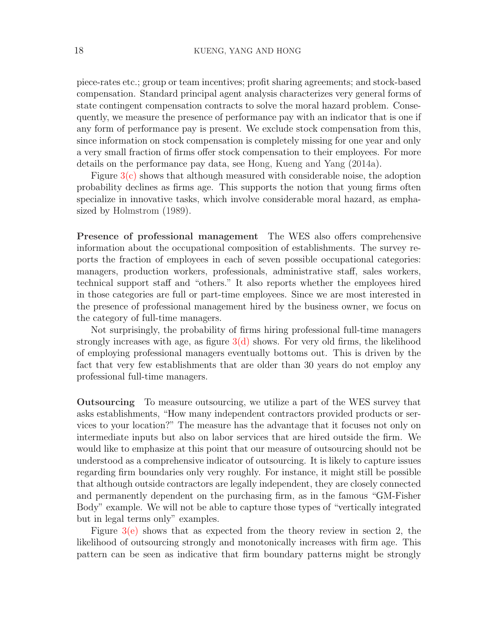piece-rates etc.; group or team incentives; profit sharing agreements; and stock-based compensation. Standard principal agent analysis characterizes very general forms of state contingent compensation contracts to solve the moral hazard problem. Consequently, we measure the presence of performance pay with an indicator that is one if any form of performance pay is present. We exclude stock compensation from this, since information on stock compensation is completely missing for one year and only a very small fraction of firms offer stock compensation to their employees. For more details on the performance pay data, see [Hong, Kueng and Yang](#page-31-18) [\(2014a\)](#page-31-18).

Figure  $3(c)$  shows that although measured with considerable noise, the adoption probability declines as firms age. This supports the notion that young firms often specialize in innovative tasks, which involve considerable moral hazard, as emphasized by [Holmstrom](#page-31-6) [\(1989\)](#page-31-6).

Presence of professional management The WES also offers comprehensive information about the occupational composition of establishments. The survey reports the fraction of employees in each of seven possible occupational categories: managers, production workers, professionals, administrative staff, sales workers, technical support staff and "others." It also reports whether the employees hired in those categories are full or part-time employees. Since we are most interested in the presence of professional management hired by the business owner, we focus on the category of full-time managers.

Not surprisingly, the probability of firms hiring professional full-time managers strongly increases with age, as figure  $3(d)$  shows. For very old firms, the likelihood of employing professional managers eventually bottoms out. This is driven by the fact that very few establishments that are older than 30 years do not employ any professional full-time managers.

Outsourcing To measure outsourcing, we utilize a part of the WES survey that asks establishments, "How many independent contractors provided products or services to your location?" The measure has the advantage that it focuses not only on intermediate inputs but also on labor services that are hired outside the firm. We would like to emphasize at this point that our measure of outsourcing should not be understood as a comprehensive indicator of outsourcing. It is likely to capture issues regarding firm boundaries only very roughly. For instance, it might still be possible that although outside contractors are legally independent, they are closely connected and permanently dependent on the purchasing firm, as in the famous "GM-Fisher Body" example. We will not be able to capture those types of "vertically integrated but in legal terms only" examples.

Figure  $3(e)$  shows that as expected from the theory review in section 2, the likelihood of outsourcing strongly and monotonically increases with firm age. This pattern can be seen as indicative that firm boundary patterns might be strongly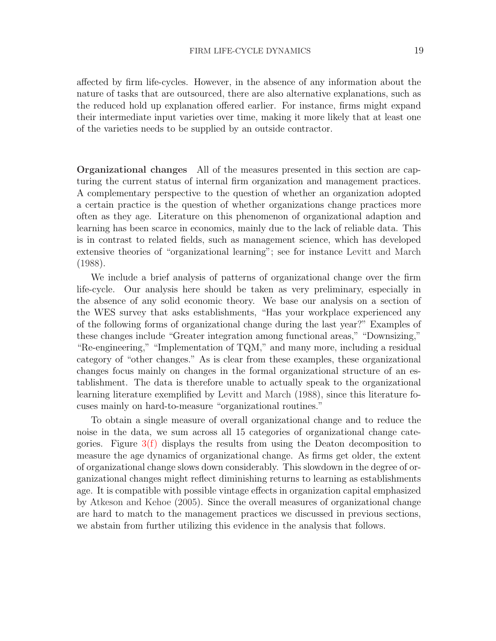affected by firm life-cycles. However, in the absence of any information about the nature of tasks that are outsourced, there are also alternative explanations, such as the reduced hold up explanation offered earlier. For instance, firms might expand their intermediate input varieties over time, making it more likely that at least one of the varieties needs to be supplied by an outside contractor.

Organizational changes All of the measures presented in this section are capturing the current status of internal firm organization and management practices. A complementary perspective to the question of whether an organization adopted a certain practice is the question of whether organizations change practices more often as they age. Literature on this phenomenon of organizational adaption and learning has been scarce in economics, mainly due to the lack of reliable data. This is in contrast to related fields, such as management science, which has developed extensive theories of "organizational learning"; see for instance [Levitt and March](#page-31-19) [\(1988\)](#page-31-19).

We include a brief analysis of patterns of organizational change over the firm life-cycle. Our analysis here should be taken as very preliminary, especially in the absence of any solid economic theory. We base our analysis on a section of the WES survey that asks establishments, "Has your workplace experienced any of the following forms of organizational change during the last year?" Examples of these changes include "Greater integration among functional areas," "Downsizing," "Re-engineering," "Implementation of TQM," and many more, including a residual category of "other changes." As is clear from these examples, these organizational changes focus mainly on changes in the formal organizational structure of an establishment. The data is therefore unable to actually speak to the organizational learning literature exemplified by [Levitt and March](#page-31-19) [\(1988\)](#page-31-19), since this literature focuses mainly on hard-to-measure "organizational routines."

To obtain a single measure of overall organizational change and to reduce the noise in the data, we sum across all 15 categories of organizational change categories. Figure [3\(f\)](#page-38-2) displays the results from using the Deaton decomposition to measure the age dynamics of organizational change. As firms get older, the extent of organizational change slows down considerably. This slowdown in the degree of organizational changes might reflect diminishing returns to learning as establishments age. It is compatible with possible vintage effects in organization capital emphasized by [Atkeson and Kehoe](#page-30-11) [\(2005\)](#page-30-11). Since the overall measures of organizational change are hard to match to the management practices we discussed in previous sections, we abstain from further utilizing this evidence in the analysis that follows.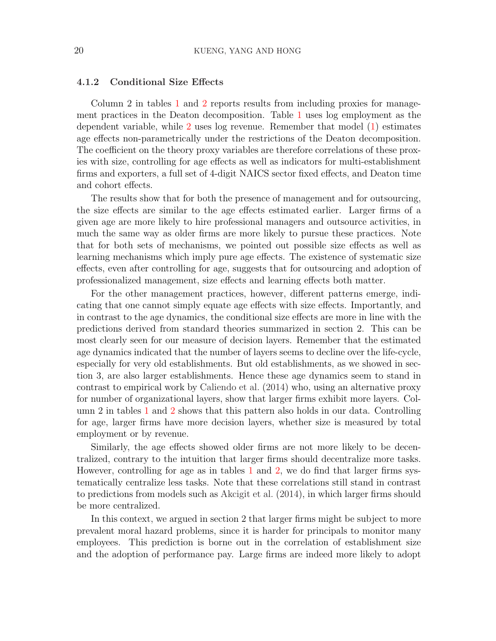#### 4.1.2 Conditional Size Effects

Column 2 in tables [1](#page-32-0) and [2](#page-33-0) reports results from including proxies for management practices in the Deaton decomposition. Table [1](#page-32-0) uses log employment as the dependent variable, while [2](#page-33-0) uses log revenue. Remember that model [\(1\)](#page-12-0) estimates age effects non-parametrically under the restrictions of the Deaton decomposition. The coefficient on the theory proxy variables are therefore correlations of these proxies with size, controlling for age effects as well as indicators for multi-establishment firms and exporters, a full set of 4-digit NAICS sector fixed effects, and Deaton time and cohort effects.

The results show that for both the presence of management and for outsourcing, the size effects are similar to the age effects estimated earlier. Larger firms of a given age are more likely to hire professional managers and outsource activities, in much the same way as older firms are more likely to pursue these practices. Note that for both sets of mechanisms, we pointed out possible size effects as well as learning mechanisms which imply pure age effects. The existence of systematic size effects, even after controlling for age, suggests that for outsourcing and adoption of professionalized management, size effects and learning effects both matter.

For the other management practices, however, different patterns emerge, indicating that one cannot simply equate age effects with size effects. Importantly, and in contrast to the age dynamics, the conditional size effects are more in line with the predictions derived from standard theories summarized in section 2. This can be most clearly seen for our measure of decision layers. Remember that the estimated age dynamics indicated that the number of layers seems to decline over the life-cycle, especially for very old establishments. But old establishments, as we showed in section 3, are also larger establishments. Hence these age dynamics seem to stand in contrast to empirical work by [Caliendo et al.](#page-30-8) [\(2014\)](#page-30-8) who, using an alternative proxy for number of organizational layers, show that larger firms exhibit more layers. Column 2 in tables [1](#page-32-0) and [2](#page-33-0) shows that this pattern also holds in our data. Controlling for age, larger firms have more decision layers, whether size is measured by total employment or by revenue.

Similarly, the age effects showed older firms are not more likely to be decentralized, contrary to the intuition that larger firms should decentralize more tasks. However, controlling for age as in tables [1](#page-32-0) and [2,](#page-33-0) we do find that larger firms systematically centralize less tasks. Note that these correlations still stand in contrast to predictions from models such as [Akcigit et al.](#page-30-2) [\(2014\)](#page-30-2), in which larger firms should be more centralized.

In this context, we argued in section 2 that larger firms might be subject to more prevalent moral hazard problems, since it is harder for principals to monitor many employees. This prediction is borne out in the correlation of establishment size and the adoption of performance pay. Large firms are indeed more likely to adopt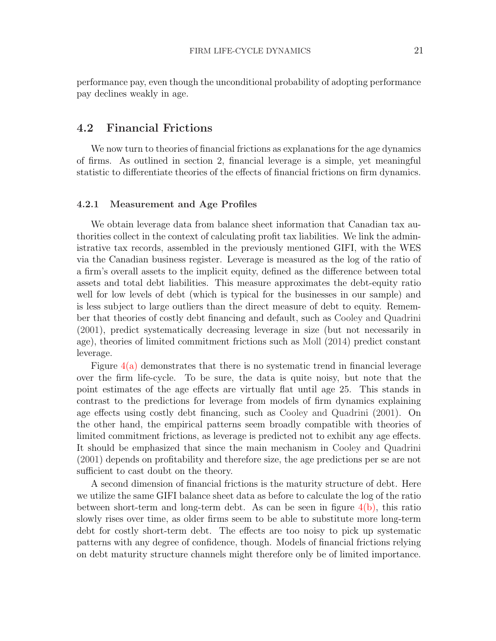performance pay, even though the unconditional probability of adopting performance pay declines weakly in age.

### 4.2 Financial Frictions

We now turn to theories of financial frictions as explanations for the age dynamics of firms. As outlined in section 2, financial leverage is a simple, yet meaningful statistic to differentiate theories of the effects of financial frictions on firm dynamics.

#### 4.2.1 Measurement and Age Profiles

We obtain leverage data from balance sheet information that Canadian tax authorities collect in the context of calculating profit tax liabilities. We link the administrative tax records, assembled in the previously mentioned GIFI, with the WES via the Canadian business register. Leverage is measured as the log of the ratio of a firm's overall assets to the implicit equity, defined as the difference between total assets and total debt liabilities. This measure approximates the debt-equity ratio well for low levels of debt (which is typical for the businesses in our sample) and is less subject to large outliers than the direct measure of debt to equity. Remember that theories of costly debt financing and default, such as [Cooley and Quadrini](#page-30-5) [\(2001\)](#page-30-5), predict systematically decreasing leverage in size (but not necessarily in age), theories of limited commitment frictions such as [Moll](#page-31-9) [\(2014\)](#page-31-9) predict constant leverage.

Figure  $4(a)$  demonstrates that there is no systematic trend in financial leverage over the firm life-cycle. To be sure, the data is quite noisy, but note that the point estimates of the age effects are virtually flat until age 25. This stands in contrast to the predictions for leverage from models of firm dynamics explaining age effects using costly debt financing, such as [Cooley and Quadrini](#page-30-5) [\(2001\)](#page-30-5). On the other hand, the empirical patterns seem broadly compatible with theories of limited commitment frictions, as leverage is predicted not to exhibit any age effects. It should be emphasized that since the main mechanism in [Cooley and Quadrini](#page-30-5) [\(2001\)](#page-30-5) depends on profitability and therefore size, the age predictions per se are not sufficient to cast doubt on the theory.

A second dimension of financial frictions is the maturity structure of debt. Here we utilize the same GIFI balance sheet data as before to calculate the log of the ratio between short-term and long-term debt. As can be seen in figure  $4(b)$ , this ratio slowly rises over time, as older firms seem to be able to substitute more long-term debt for costly short-term debt. The effects are too noisy to pick up systematic patterns with any degree of confidence, though. Models of financial frictions relying on debt maturity structure channels might therefore only be of limited importance.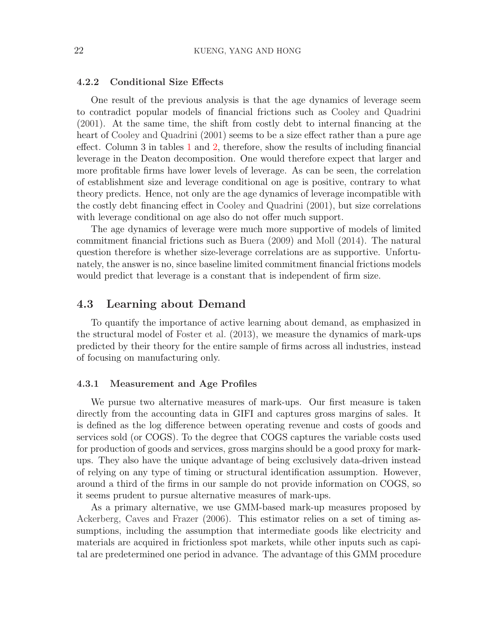#### 4.2.2 Conditional Size Effects

One result of the previous analysis is that the age dynamics of leverage seem to contradict popular models of financial frictions such as [Cooley and Quadrini](#page-30-5) [\(2001\)](#page-30-5). At the same time, the shift from costly debt to internal financing at the heart of [Cooley and Quadrini](#page-30-5) [\(2001\)](#page-30-5) seems to be a size effect rather than a pure age effect. Column 3 in tables [1](#page-32-0) and [2,](#page-33-0) therefore, show the results of including financial leverage in the Deaton decomposition. One would therefore expect that larger and more profitable firms have lower levels of leverage. As can be seen, the correlation of establishment size and leverage conditional on age is positive, contrary to what theory predicts. Hence, not only are the age dynamics of leverage incompatible with the costly debt financing effect in [Cooley and Quadrini](#page-30-5) [\(2001\)](#page-30-5), but size correlations with leverage conditional on age also do not offer much support.

The age dynamics of leverage were much more supportive of models of limited commitment financial frictions such as [Buera](#page-30-10) [\(2009\)](#page-30-10) and [Moll](#page-31-9) [\(2014\)](#page-31-9). The natural question therefore is whether size-leverage correlations are as supportive. Unfortunately, the answer is no, since baseline limited commitment financial frictions models would predict that leverage is a constant that is independent of firm size.

### 4.3 Learning about Demand

To quantify the importance of active learning about demand, as emphasized in the structural model of [Foster et al.](#page-30-6) [\(2013\)](#page-30-6), we measure the dynamics of mark-ups predicted by their theory for the entire sample of firms across all industries, instead of focusing on manufacturing only.

#### 4.3.1 Measurement and Age Profiles

We pursue two alternative measures of mark-ups. Our first measure is taken directly from the accounting data in GIFI and captures gross margins of sales. It is defined as the log difference between operating revenue and costs of goods and services sold (or COGS). To the degree that COGS captures the variable costs used for production of goods and services, gross margins should be a good proxy for markups. They also have the unique advantage of being exclusively data-driven instead of relying on any type of timing or structural identification assumption. However, around a third of the firms in our sample do not provide information on COGS, so it seems prudent to pursue alternative measures of mark-ups.

As a primary alternative, we use GMM-based mark-up measures proposed by [Ackerberg, Caves and Frazer](#page-30-18) [\(2006\)](#page-30-18). This estimator relies on a set of timing assumptions, including the assumption that intermediate goods like electricity and materials are acquired in frictionless spot markets, while other inputs such as capital are predetermined one period in advance. The advantage of this GMM procedure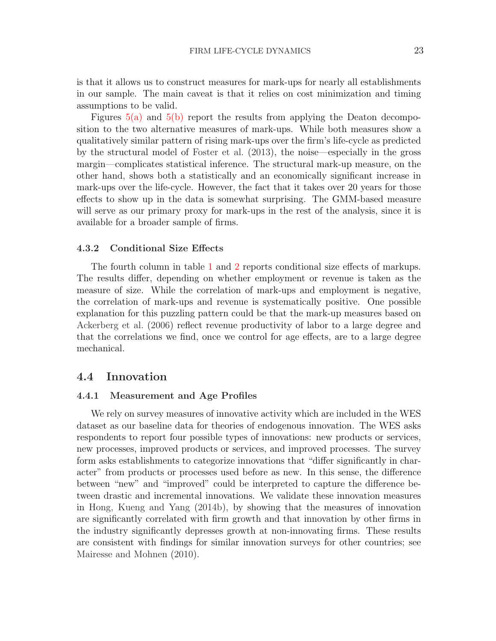is that it allows us to construct measures for mark-ups for nearly all establishments in our sample. The main caveat is that it relies on cost minimization and timing assumptions to be valid.

Figures [5\(a\)](#page-40-0) and [5\(b\)](#page-40-1) report the results from applying the Deaton decomposition to the two alternative measures of mark-ups. While both measures show a qualitatively similar pattern of rising mark-ups over the firm's life-cycle as predicted by the structural model of [Foster et al.](#page-30-6) [\(2013\)](#page-30-6), the noise—especially in the gross margin—complicates statistical inference. The structural mark-up measure, on the other hand, shows both a statistically and an economically significant increase in mark-ups over the life-cycle. However, the fact that it takes over 20 years for those effects to show up in the data is somewhat surprising. The GMM-based measure will serve as our primary proxy for mark-ups in the rest of the analysis, since it is available for a broader sample of firms.

#### 4.3.2 Conditional Size Effects

The fourth column in table [1](#page-32-0) and [2](#page-33-0) reports conditional size effects of markups. The results differ, depending on whether employment or revenue is taken as the measure of size. While the correlation of mark-ups and employment is negative, the correlation of mark-ups and revenue is systematically positive. One possible explanation for this puzzling pattern could be that the mark-up measures based on [Ackerberg et al.](#page-30-18) [\(2006\)](#page-30-18) reflect revenue productivity of labor to a large degree and that the correlations we find, once we control for age effects, are to a large degree mechanical.

#### 4.4 Innovation

#### 4.4.1 Measurement and Age Profiles

We rely on survey measures of innovative activity which are included in the WES dataset as our baseline data for theories of endogenous innovation. The WES asks respondents to report four possible types of innovations: new products or services, new processes, improved products or services, and improved processes. The survey form asks establishments to categorize innovations that "differ significantly in character" from products or processes used before as new. In this sense, the difference between "new" and "improved" could be interpreted to capture the difference between drastic and incremental innovations. We validate these innovation measures in [Hong, Kueng and Yang](#page-31-20) [\(2014b\)](#page-31-20), by showing that the measures of innovation are significantly correlated with firm growth and that innovation by other firms in the industry significantly depresses growth at non-innovating firms. These results are consistent with findings for similar innovation surveys for other countries; see [Mairesse and Mohnen](#page-31-21) [\(2010\)](#page-31-21).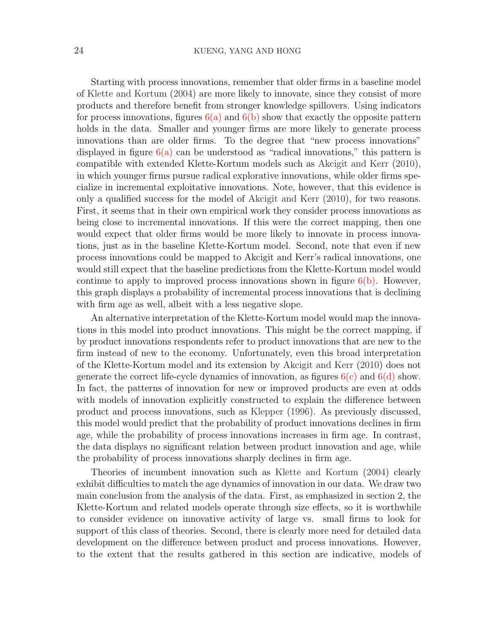Starting with process innovations, remember that older firms in a baseline model of [Klette and Kortum](#page-31-4) [\(2004\)](#page-31-4) are more likely to innovate, since they consist of more products and therefore benefit from stronger knowledge spillovers. Using indicators for process innovations, figures  $6(a)$  and  $6(b)$  show that exactly the opposite pattern holds in the data. Smaller and younger firms are more likely to generate process innovations than are older firms. To the degree that "new process innovations" displayed in figure  $6(a)$  can be understood as "radical innovations," this pattern is compatible with extended Klette-Kortum models such as [Akcigit and Kerr](#page-30-13) [\(2010\)](#page-30-13), in which younger firms pursue radical explorative innovations, while older firms specialize in incremental exploitative innovations. Note, however, that this evidence is only a qualified success for the model of [Akcigit and Kerr](#page-30-13) [\(2010\)](#page-30-13), for two reasons. First, it seems that in their own empirical work they consider process innovations as being close to incremental innovations. If this were the correct mapping, then one would expect that older firms would be more likely to innovate in process innovations, just as in the baseline Klette-Kortum model. Second, note that even if new process innovations could be mapped to Akcigit and Kerr's radical innovations, one would still expect that the baseline predictions from the Klette-Kortum model would continue to apply to improved process innovations shown in figure  $6(b)$ . However, this graph displays a probability of incremental process innovations that is declining with firm age as well, albeit with a less negative slope.

An alternative interpretation of the Klette-Kortum model would map the innovations in this model into product innovations. This might be the correct mapping, if by product innovations respondents refer to product innovations that are new to the firm instead of new to the economy. Unfortunately, even this broad interpretation of the Klette-Kortum model and its extension by [Akcigit and Kerr](#page-30-13) [\(2010\)](#page-30-13) does not generate the correct life-cycle dynamics of innovation, as figures  $6(c)$  and  $6(d)$  show. In fact, the patterns of innovation for new or improved products are even at odds with models of innovation explicitly constructed to explain the difference between product and process innovations, such as [Klepper](#page-31-5) [\(1996\)](#page-31-5). As previously discussed, this model would predict that the probability of product innovations declines in firm age, while the probability of process innovations increases in firm age. In contrast, the data displays no significant relation between product innovation and age, while the probability of process innovations sharply declines in firm age.

Theories of incumbent innovation such as [Klette and Kortum](#page-31-4) [\(2004\)](#page-31-4) clearly exhibit difficulties to match the age dynamics of innovation in our data. We draw two main conclusion from the analysis of the data. First, as emphasized in section 2, the Klette-Kortum and related models operate through size effects, so it is worthwhile to consider evidence on innovative activity of large vs. small firms to look for support of this class of theories. Second, there is clearly more need for detailed data development on the difference between product and process innovations. However, to the extent that the results gathered in this section are indicative, models of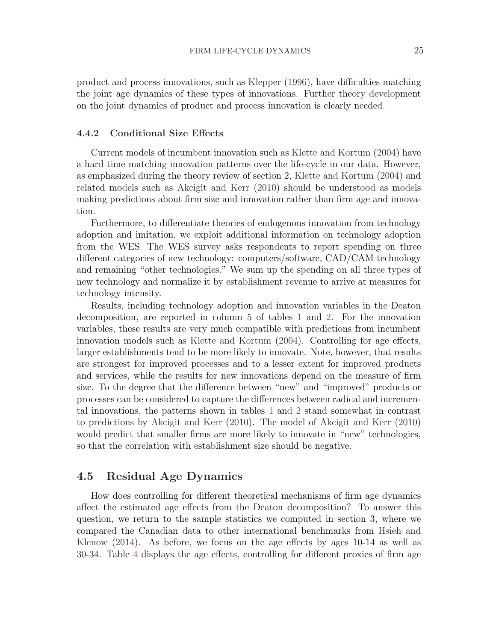product and process innovations, such as [Klepper](#page-31-5) [\(1996\)](#page-31-5), have difficulties matching the joint age dynamics of these types of innovations. Further theory development on the joint dynamics of product and process innovation is clearly needed.

#### 4.4.2 Conditional Size Effects

Current models of incumbent innovation such as [Klette and Kortum](#page-31-4) [\(2004\)](#page-31-4) have a hard time matching innovation patterns over the life-cycle in our data. However, as emphasized during the theory review of section 2, [Klette and Kortum](#page-31-4) [\(2004\)](#page-31-4) and related models such as [Akcigit and Kerr](#page-30-13) [\(2010\)](#page-30-13) should be understood as models making predictions about firm size and innovation rather than firm age and innovation.

Furthermore, to differentiate theories of endogenous innovation from technology adoption and imitation, we exploit additional information on technology adoption from the WES. The WES survey asks respondents to report spending on three different categories of new technology: computers/software, CAD/CAM technology and remaining "other technologies." We sum up the spending on all three types of new technology and normalize it by establishment revenue to arrive at measures for technology intensity.

Results, including technology adoption and innovation variables in the Deaton decomposition, are reported in column 5 of tables [1](#page-32-0) and [2.](#page-33-0) For the innovation variables, these results are very much compatible with predictions from incumbent innovation models such as [Klette and Kortum](#page-31-4) [\(2004\)](#page-31-4). Controlling for age effects, larger establishments tend to be more likely to innovate. Note, however, that results are strongest for improved processes and to a lesser extent for improved products and services, while the results for new innovations depend on the measure of firm size. To the degree that the difference between "new" and "improved" products or processes can be considered to capture the differences between radical and incremental innovations, the patterns shown in tables [1](#page-32-0) and [2](#page-33-0) stand somewhat in contrast to predictions by [Akcigit and Kerr](#page-30-13) [\(2010\)](#page-30-13). The model of [Akcigit and Kerr](#page-30-13) [\(2010\)](#page-30-13) would predict that smaller firms are more likely to innovate in "new" technologies, so that the correlation with establishment size should be negative.

### 4.5 Residual Age Dynamics

How does controlling for different theoretical mechanisms of firm age dynamics affect the estimated age effects from the Deaton decomposition? To answer this question, we return to the sample statistics we computed in section 3, where we compared the Canadian data to other international benchmarks from [Hsieh and](#page-31-1) [Klenow](#page-31-1) [\(2014\)](#page-31-1). As before, we focus on the age effects by ages 10-14 as well as 30-34. Table [4](#page-35-0) displays the age effects, controlling for different proxies of firm age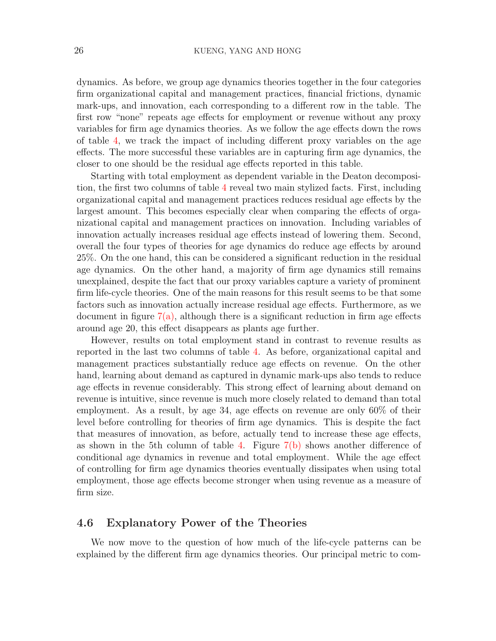dynamics. As before, we group age dynamics theories together in the four categories firm organizational capital and management practices, financial frictions, dynamic mark-ups, and innovation, each corresponding to a different row in the table. The first row "none" repeats age effects for employment or revenue without any proxy variables for firm age dynamics theories. As we follow the age effects down the rows of table [4,](#page-35-0) we track the impact of including different proxy variables on the age effects. The more successful these variables are in capturing firm age dynamics, the closer to one should be the residual age effects reported in this table.

Starting with total employment as dependent variable in the Deaton decomposition, the first two columns of table [4](#page-35-0) reveal two main stylized facts. First, including organizational capital and management practices reduces residual age effects by the largest amount. This becomes especially clear when comparing the effects of organizational capital and management practices on innovation. Including variables of innovation actually increases residual age effects instead of lowering them. Second, overall the four types of theories for age dynamics do reduce age effects by around 25%. On the one hand, this can be considered a significant reduction in the residual age dynamics. On the other hand, a majority of firm age dynamics still remains unexplained, despite the fact that our proxy variables capture a variety of prominent firm life-cycle theories. One of the main reasons for this result seems to be that some factors such as innovation actually increase residual age effects. Furthermore, as we document in figure  $7(a)$ , although there is a significant reduction in firm age effects around age 20, this effect disappears as plants age further.

However, results on total employment stand in contrast to revenue results as reported in the last two columns of table [4.](#page-35-0) As before, organizational capital and management practices substantially reduce age effects on revenue. On the other hand, learning about demand as captured in dynamic mark-ups also tends to reduce age effects in revenue considerably. This strong effect of learning about demand on revenue is intuitive, since revenue is much more closely related to demand than total employment. As a result, by age 34, age effects on revenue are only 60% of their level before controlling for theories of firm age dynamics. This is despite the fact that measures of innovation, as before, actually tend to increase these age effects, as shown in the 5th column of table [4.](#page-35-0) Figure  $7(b)$  shows another difference of conditional age dynamics in revenue and total employment. While the age effect of controlling for firm age dynamics theories eventually dissipates when using total employment, those age effects become stronger when using revenue as a measure of firm size.

### 4.6 Explanatory Power of the Theories

We now move to the question of how much of the life-cycle patterns can be explained by the different firm age dynamics theories. Our principal metric to com-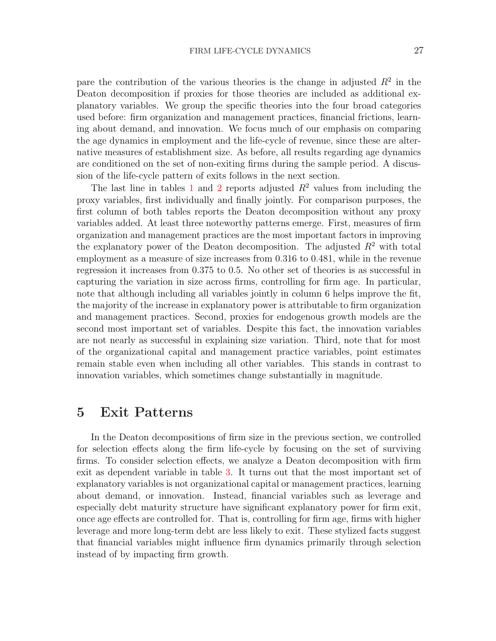pare the contribution of the various theories is the change in adjusted  $R^2$  in the Deaton decomposition if proxies for those theories are included as additional explanatory variables. We group the specific theories into the four broad categories used before: firm organization and management practices, financial frictions, learning about demand, and innovation. We focus much of our emphasis on comparing the age dynamics in employment and the life-cycle of revenue, since these are alternative measures of establishment size. As before, all results regarding age dynamics are conditioned on the set of non-exiting firms during the sample period. A discussion of the life-cycle pattern of exits follows in the next section.

The last line in tables [1](#page-32-0) and [2](#page-33-0) reports adjusted  $R^2$  values from including the proxy variables, first individually and finally jointly. For comparison purposes, the first column of both tables reports the Deaton decomposition without any proxy variables added. At least three noteworthy patterns emerge. First, measures of firm organization and management practices are the most important factors in improving the explanatory power of the Deaton decomposition. The adjusted  $R^2$  with total employment as a measure of size increases from 0.316 to 0.481, while in the revenue regression it increases from 0.375 to 0.5. No other set of theories is as successful in capturing the variation in size across firms, controlling for firm age. In particular, note that although including all variables jointly in column 6 helps improve the fit, the majority of the increase in explanatory power is attributable to firm organization and management practices. Second, proxies for endogenous growth models are the second most important set of variables. Despite this fact, the innovation variables are not nearly as successful in explaining size variation. Third, note that for most of the organizational capital and management practice variables, point estimates remain stable even when including all other variables. This stands in contrast to innovation variables, which sometimes change substantially in magnitude.

## 5 Exit Patterns

In the Deaton decompositions of firm size in the previous section, we controlled for selection effects along the firm life-cycle by focusing on the set of surviving firms. To consider selection effects, we analyze a Deaton decomposition with firm exit as dependent variable in table [3.](#page-34-0) It turns out that the most important set of explanatory variables is not organizational capital or management practices, learning about demand, or innovation. Instead, financial variables such as leverage and especially debt maturity structure have significant explanatory power for firm exit, once age effects are controlled for. That is, controlling for firm age, firms with higher leverage and more long-term debt are less likely to exit. These stylized facts suggest that financial variables might influence firm dynamics primarily through selection instead of by impacting firm growth.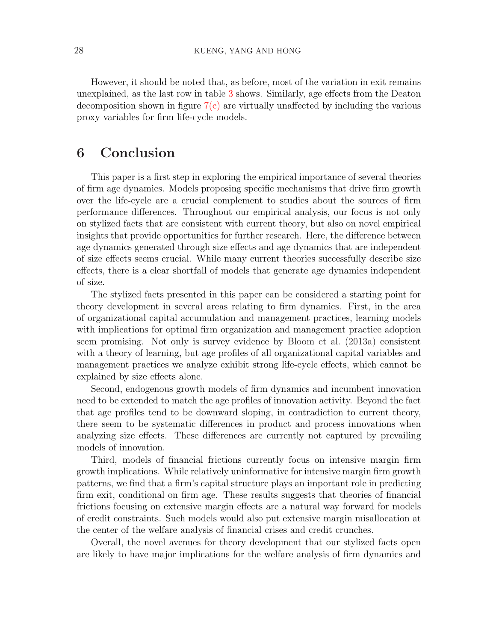However, it should be noted that, as before, most of the variation in exit remains unexplained, as the last row in table [3](#page-34-0) shows. Similarly, age effects from the Deaton decomposition shown in figure [7\(c\)](#page-42-2) are virtually unaffected by including the various proxy variables for firm life-cycle models.

## 6 Conclusion

This paper is a first step in exploring the empirical importance of several theories of firm age dynamics. Models proposing specific mechanisms that drive firm growth over the life-cycle are a crucial complement to studies about the sources of firm performance differences. Throughout our empirical analysis, our focus is not only on stylized facts that are consistent with current theory, but also on novel empirical insights that provide opportunities for further research. Here, the difference between age dynamics generated through size effects and age dynamics that are independent of size effects seems crucial. While many current theories successfully describe size effects, there is a clear shortfall of models that generate age dynamics independent of size.

The stylized facts presented in this paper can be considered a starting point for theory development in several areas relating to firm dynamics. First, in the area of organizational capital accumulation and management practices, learning models with implications for optimal firm organization and management practice adoption seem promising. Not only is survey evidence by [Bloom et al.](#page-30-4) [\(2013a\)](#page-30-4) consistent with a theory of learning, but age profiles of all organizational capital variables and management practices we analyze exhibit strong life-cycle effects, which cannot be explained by size effects alone.

Second, endogenous growth models of firm dynamics and incumbent innovation need to be extended to match the age profiles of innovation activity. Beyond the fact that age profiles tend to be downward sloping, in contradiction to current theory, there seem to be systematic differences in product and process innovations when analyzing size effects. These differences are currently not captured by prevailing models of innovation.

Third, models of financial frictions currently focus on intensive margin firm growth implications. While relatively uninformative for intensive margin firm growth patterns, we find that a firm's capital structure plays an important role in predicting firm exit, conditional on firm age. These results suggests that theories of financial frictions focusing on extensive margin effects are a natural way forward for models of credit constraints. Such models would also put extensive margin misallocation at the center of the welfare analysis of financial crises and credit crunches.

Overall, the novel avenues for theory development that our stylized facts open are likely to have major implications for the welfare analysis of firm dynamics and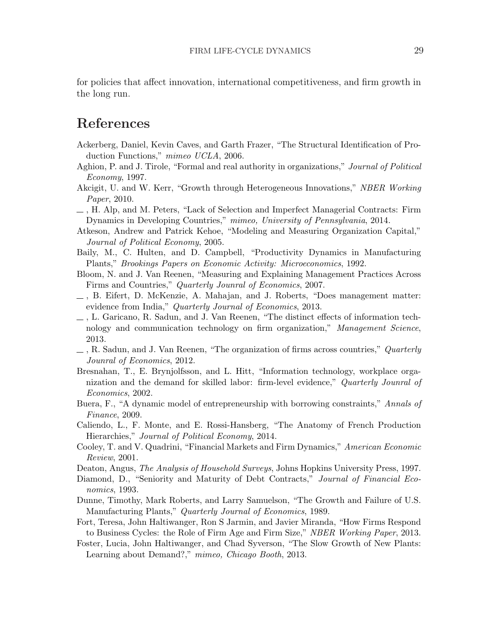for policies that affect innovation, international competitiveness, and firm growth in the long run.

# References

- <span id="page-30-18"></span>Ackerberg, Daniel, Kevin Caves, and Garth Frazer, "The Structural Identification of Production Functions," mimeo UCLA, 2006.
- <span id="page-30-7"></span>Aghion, P. and J. Tirole, "Formal and real authority in organizations," Journal of Political Economy, 1997.
- <span id="page-30-13"></span>Akcigit, U. and W. Kerr, "Growth through Heterogeneous Innovations," NBER Working Paper, 2010.
- <span id="page-30-2"></span>, H. Alp, and M. Peters, "Lack of Selection and Imperfect Managerial Contracts: Firm Dynamics in Developing Countries," mimeo, University of Pennsylvania, 2014.
- <span id="page-30-11"></span>Atkeson, Andrew and Patrick Kehoe, "Modeling and Measuring Organization Capital," Journal of Political Economy, 2005.
- <span id="page-30-15"></span>Baily, M., C. Hulten, and D. Campbell, "Productivity Dynamics in Manufacturing Plants," Brookings Papers on Economic Activity: Microeconomics, 1992.
- <span id="page-30-9"></span>Bloom, N. and J. Van Reenen, "Measuring and Explaining Management Practices Across Firms and Countries," Quarterly Jounral of Economics, 2007.
- <span id="page-30-4"></span> $\Box$ , B. Eifert, D. McKenzie, A. Mahajan, and J. Roberts, "Does management matter: evidence from India," Quarterly Journal of Economics, 2013.
- <span id="page-30-17"></span>, L. Garicano, R. Sadun, and J. Van Reenen, "The distinct effects of information technology and communication technology on firm organization," Management Science, 2013.
- <span id="page-30-3"></span> $\Box$ , R. Sadun, and J. Van Reenen, "The organization of firms across countries," *Quarterly* Jounral of Economics, 2012.
- <span id="page-30-16"></span>Bresnahan, T., E. Brynjolfsson, and L. Hitt, "Information technology, workplace organization and the demand for skilled labor: firm-level evidence," Quarterly Jounral of Economics, 2002.
- <span id="page-30-10"></span>Buera, F., "A dynamic model of entrepreneurship with borrowing constraints," Annals of Finance, 2009.
- <span id="page-30-8"></span>Caliendo, L., F. Monte, and E. Rossi-Hansberg, "The Anatomy of French Production Hierarchies," Journal of Political Economy, 2014.
- <span id="page-30-5"></span>Cooley, T. and V. Quadrini, "Financial Markets and Firm Dynamics," American Economic Review, 2001.
- <span id="page-30-14"></span>Deaton, Angus, The Analysis of Household Surveys, Johns Hopkins University Press, 1997.
- <span id="page-30-12"></span>Diamond, D., "Seniority and Maturity of Debt Contracts," Journal of Financial Economics, 1993.
- <span id="page-30-1"></span>Dunne, Timothy, Mark Roberts, and Larry Samuelson, "The Growth and Failure of U.S. Manufacturing Plants," Quarterly Journal of Economics, 1989.
- <span id="page-30-0"></span>Fort, Teresa, John Haltiwanger, Ron S Jarmin, and Javier Miranda, "How Firms Respond to Business Cycles: the Role of Firm Age and Firm Size," NBER Working Paper, 2013.
- <span id="page-30-6"></span>Foster, Lucia, John Haltiwanger, and Chad Syverson, "The Slow Growth of New Plants: Learning about Demand?," mimeo, Chicago Booth, 2013.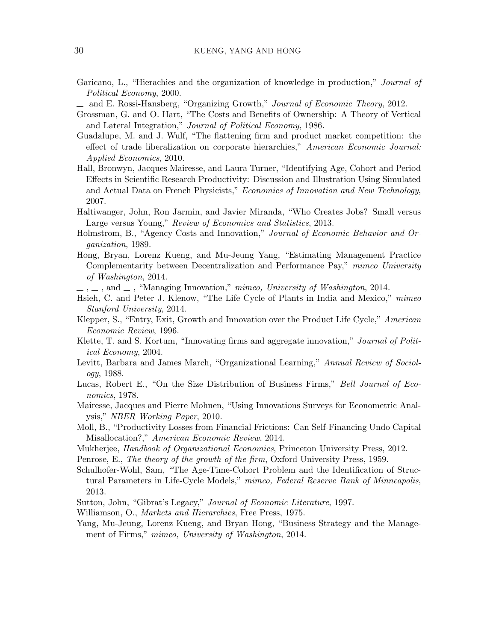- <span id="page-31-12"></span>Garicano, L., "Hierachies and the organization of knowledge in production," Journal of Political Economy, 2000.
- <span id="page-31-3"></span> $\Delta$  and E. Rossi-Hansberg, "Organizing Growth," Journal of Economic Theory, 2012.
- <span id="page-31-8"></span>Grossman, G. and O. Hart, "The Costs and Benefits of Ownership: A Theory of Vertical and Lateral Integration," Journal of Political Economy, 1986.
- <span id="page-31-17"></span>Guadalupe, M. and J. Wulf, "The flattening firm and product market competition: the effect of trade liberalization on corporate hierarchies," American Economic Journal: Applied Economics, 2010.
- <span id="page-31-14"></span>Hall, Bronwyn, Jacques Mairesse, and Laura Turner, "Identifying Age, Cohort and Period Effects in Scientific Research Productivity: Discussion and Illustration Using Simulated and Actual Data on French Physicists," Economics of Innovation and New Technology, 2007.
- <span id="page-31-0"></span>Haltiwanger, John, Ron Jarmin, and Javier Miranda, "Who Creates Jobs? Small versus Large versus Young," Review of Economics and Statistics, 2013.
- <span id="page-31-6"></span>Holmstrom, B., "Agency Costs and Innovation," Journal of Economic Behavior and Organization, 1989.
- <span id="page-31-18"></span>Hong, Bryan, Lorenz Kueng, and Mu-Jeung Yang, "Estimating Management Practice Complementarity between Decentralization and Performance Pay," mimeo University of Washington, 2014.
- <span id="page-31-20"></span> $\ldots$ , and  $\ldots$ , "Managing Innovation," mimeo, University of Washington, 2014.
- <span id="page-31-1"></span>Hsieh, C. and Peter J. Klenow, "The Life Cycle of Plants in India and Mexico," mimeo Stanford University, 2014.
- <span id="page-31-5"></span>Klepper, S., "Entry, Exit, Growth and Innovation over the Product Life Cycle," American Economic Review, 1996.
- <span id="page-31-4"></span>Klette, T. and S. Kortum, "Innovating firms and aggregate innovation," Journal of Political Economy, 2004.
- <span id="page-31-19"></span>Levitt, Barbara and James March, "Organizational Learning," Annual Review of Sociology, 1988.
- <span id="page-31-11"></span>Lucas, Robert E., "On the Size Distribution of Business Firms," Bell Journal of Economics, 1978.
- <span id="page-31-21"></span>Mairesse, Jacques and Pierre Mohnen, "Using Innovations Surveys for Econometric Analysis," NBER Working Paper, 2010.
- <span id="page-31-9"></span>Moll, B., "Productivity Losses from Financial Frictions: Can Self-Financing Undo Capital Misallocation?," American Economic Review, 2014.
- <span id="page-31-13"></span>Mukherjee, Handbook of Organizational Economics, Princeton University Press, 2012.
- <span id="page-31-15"></span><span id="page-31-10"></span>Penrose, E., The theory of the growth of the firm, Oxford University Press, 1959.
- Schulhofer-Wohl, Sam, "The Age-Time-Cohort Problem and the Identification of Structural Parameters in Life-Cycle Models," mimeo, Federal Reserve Bank of Minneapolis, 2013.
- <span id="page-31-2"></span>Sutton, John, "Gibrat's Legacy," Journal of Economic Literature, 1997.
- <span id="page-31-16"></span><span id="page-31-7"></span>Williamson, O., *Markets and Hierarchies*, Free Press, 1975.
- Yang, Mu-Jeung, Lorenz Kueng, and Bryan Hong, "Business Strategy and the Management of Firms," mimeo, University of Washington, 2014.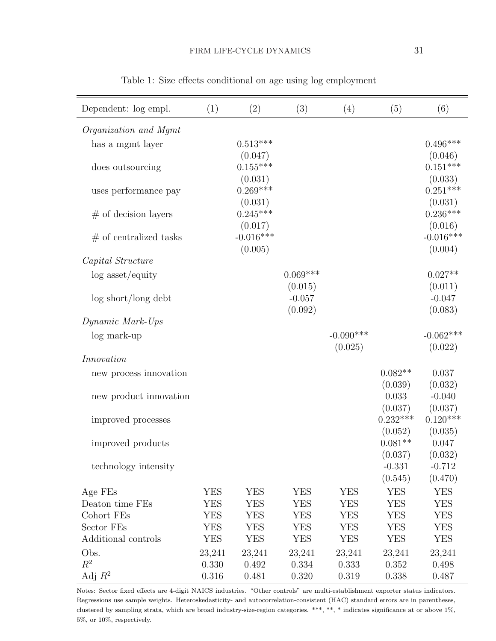<span id="page-32-0"></span>

| Dependent: log empl.     | (1)        | (2)         | (3)        | (4)         | (5)        | (6)         |
|--------------------------|------------|-------------|------------|-------------|------------|-------------|
| Organization and Mgmt    |            |             |            |             |            |             |
| has a mgmt layer         |            | $0.513***$  |            |             |            | $0.496***$  |
|                          |            | (0.047)     |            |             |            | (0.046)     |
| does outsourcing         |            | $0.155***$  |            |             |            | $0.151***$  |
|                          |            | (0.031)     |            |             |            | (0.033)     |
| uses performance pay     |            | $0.269***$  |            |             |            | $0.251***$  |
|                          |            | (0.031)     |            |             |            | (0.031)     |
| $#$ of decision layers   |            | $0.245***$  |            |             |            | $0.236***$  |
|                          |            | (0.017)     |            |             |            | (0.016)     |
| $#$ of centralized tasks |            | $-0.016***$ |            |             |            | $-0.016***$ |
|                          |            | (0.005)     |            |             |            | (0.004)     |
| Capital Structure        |            |             |            |             |            |             |
| $log$ asset/equity       |            |             | $0.069***$ |             |            | $0.027**$   |
|                          |            |             | (0.015)    |             |            | (0.011)     |
| log short/long debt      |            |             | $-0.057$   |             |            | $-0.047$    |
|                          |            |             | (0.092)    |             |            | (0.083)     |
| Dynamic Mark-Ups         |            |             |            |             |            |             |
| log mark-up              |            |             |            | $-0.090***$ |            | $-0.062***$ |
|                          |            |             |            | (0.025)     |            | (0.022)     |
| Innovation               |            |             |            |             |            |             |
| new process innovation   |            |             |            |             | $0.082**$  | 0.037       |
|                          |            |             |            |             | (0.039)    | (0.032)     |
| new product innovation   |            |             |            |             | 0.033      | $-0.040$    |
|                          |            |             |            |             | (0.037)    | (0.037)     |
| improved processes       |            |             |            |             | $0.232***$ | $0.120***$  |
|                          |            |             |            |             | (0.052)    | (0.035)     |
| improved products        |            |             |            |             | $0.081**$  | 0.047       |
|                          |            |             |            |             | (0.037)    | (0.032)     |
| technology intensity     |            |             |            |             | $-0.331$   | $-0.712$    |
|                          |            |             |            |             | (0.545)    | (0.470)     |
| Age FEs                  | YES        | <b>YES</b>  | YES        | <b>YES</b>  | <b>YES</b> | <b>YES</b>  |
| Deaton time FEs          | YES        | YES         | YES        | YES         | YES        | YES         |
| Cohort FEs               | <b>YES</b> | <b>YES</b>  | YES        | <b>YES</b>  | <b>YES</b> | <b>YES</b>  |
| Sector FEs               | YES        | YES         | YES        | <b>YES</b>  | YES        | YES         |
| Additional controls      | <b>YES</b> | <b>YES</b>  | YES        | YES         | YES        | <b>YES</b>  |
| Obs.                     | 23,241     | 23,241      | 23,241     | 23,241      | 23,241     | 23,241      |
| $R^2$                    | 0.330      | 0.492       | 0.334      | 0.333       | 0.352      | 0.498       |
| Adj $R^2$                | 0.316      | 0.481       | 0.320      | 0.319       | 0.338      | 0.487       |

Table 1: Size effects conditional on age using log employment

Notes: Sector fixed effects are 4-digit NAICS industries. "Other controls" are multi-establishment exporter status indicators. Regressions use sample weights. Heteroskedasticity- and autocorrelation-consistent (HAC) standard errors are in parentheses, clustered by sampling strata, which are broad industry-size-region categories. \*\*\*, \*\*, \* indicates significance at or above 1%, 5%, or 10%, respectively.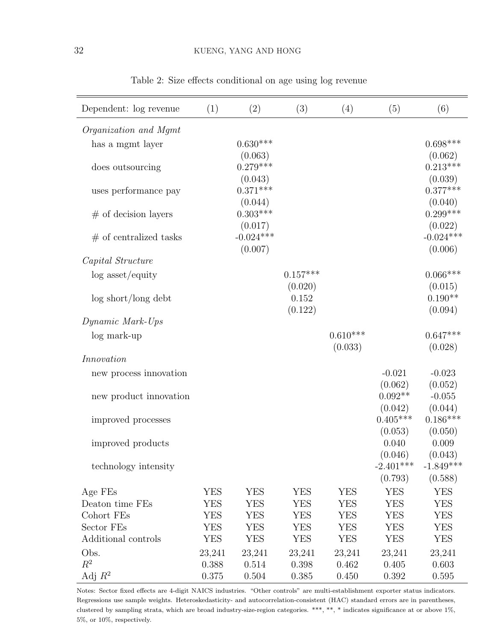<span id="page-33-0"></span>

| Dependent: log revenue   | (1)        | (2)         | (3)        | (4)        | (5)         | (6)         |
|--------------------------|------------|-------------|------------|------------|-------------|-------------|
| Organization and Mgmt    |            |             |            |            |             |             |
| has a mgmt layer         |            | $0.630***$  |            |            |             | $0.698***$  |
|                          |            | (0.063)     |            |            |             | (0.062)     |
| does outsourcing         |            | $0.279***$  |            |            |             | $0.213***$  |
|                          |            | (0.043)     |            |            |             | (0.039)     |
| uses performance pay     |            | $0.371***$  |            |            |             | $0.377***$  |
|                          |            | (0.044)     |            |            |             | (0.040)     |
| $#$ of decision layers   |            | $0.303***$  |            |            |             | $0.299***$  |
|                          |            | (0.017)     |            |            |             | (0.022)     |
| $#$ of centralized tasks |            | $-0.024***$ |            |            |             | $-0.024***$ |
|                          |            | (0.007)     |            |            |             | (0.006)     |
| Capital Structure        |            |             |            |            |             |             |
| $log$ asset/equity       |            |             | $0.157***$ |            |             | $0.066***$  |
|                          |            |             | (0.020)    |            |             | (0.015)     |
| $\log$ short/long debt   |            |             | 0.152      |            |             | $0.190**$   |
|                          |            |             | (0.122)    |            |             | (0.094)     |
| Dynamic Mark-Ups         |            |             |            |            |             |             |
| log mark-up              |            |             |            | $0.610***$ |             | $0.647***$  |
|                          |            |             |            | (0.033)    |             | (0.028)     |
| Innovation               |            |             |            |            |             |             |
| new process innovation   |            |             |            |            | $-0.021$    | $-0.023$    |
|                          |            |             |            |            | (0.062)     | (0.052)     |
| new product innovation   |            |             |            |            | $0.092**$   | $-0.055$    |
|                          |            |             |            |            | (0.042)     | (0.044)     |
| improved processes       |            |             |            |            | $0.405***$  | $0.186***$  |
|                          |            |             |            |            | (0.053)     | (0.050)     |
| improved products        |            |             |            |            | 0.040       | 0.009       |
|                          |            |             |            |            | (0.046)     | (0.043)     |
| technology intensity     |            |             |            |            | $-2.401***$ | $-1.849***$ |
|                          |            |             |            |            | (0.793)     | (0.588)     |
| Age FEs                  | <b>YES</b> | YES         | <b>YES</b> | <b>YES</b> | <b>YES</b>  | <b>YES</b>  |
| Deaton time FEs          | <b>YES</b> | YES         | <b>YES</b> | YES        | <b>YES</b>  | YES         |
| Cohort FEs               | <b>YES</b> | <b>YES</b>  | <b>YES</b> | <b>YES</b> | <b>YES</b>  | <b>YES</b>  |
| Sector FEs               | YES        | YES         | <b>YES</b> | YES        | YES         | YES         |
| Additional controls      | YES        | YES         | <b>YES</b> | <b>YES</b> | <b>YES</b>  | <b>YES</b>  |
| Obs.                     | 23,241     | 23,241      | 23,241     | 23,241     | 23,241      | 23,241      |
| $R^2$                    | 0.388      | 0.514       | 0.398      | 0.462      | 0.405       | 0.603       |
| Adj $R^2$                | 0.375      | 0.504       | 0.385      | 0.450      | 0.392       | 0.595       |

Table 2: Size effects conditional on age using log revenue

Notes: Sector fixed effects are 4-digit NAICS industries. "Other controls" are multi-establishment exporter status indicators. Regressions use sample weights. Heteroskedasticity- and autocorrelation-consistent (HAC) standard errors are in parentheses, clustered by sampling strata, which are broad industry-size-region categories. \*\*\*, \*\*, \* indicates significance at or above 1%, 5%, or 10%, respectively.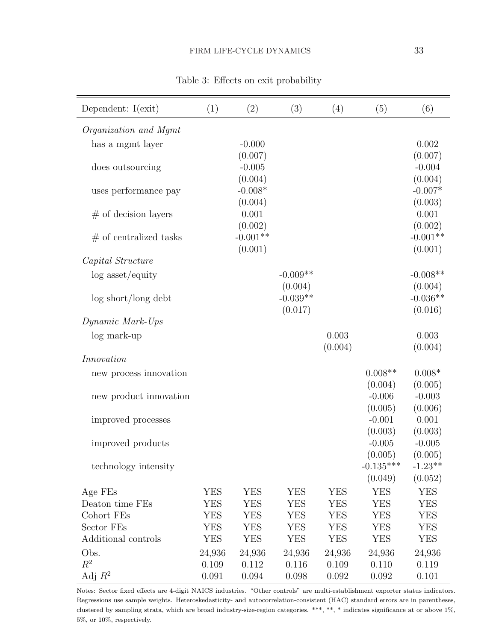<span id="page-34-0"></span>

| Dependent: $I(exit)$     | (1)    | (2)        | (3)        | (4)        | (5)              | (6)        |
|--------------------------|--------|------------|------------|------------|------------------|------------|
| Organization and Mgmt    |        |            |            |            |                  |            |
| has a mgmt layer         |        | $-0.000$   |            |            |                  | 0.002      |
|                          |        | (0.007)    |            |            |                  | (0.007)    |
| does outsourcing         |        | $-0.005$   |            |            |                  | $-0.004$   |
|                          |        | (0.004)    |            |            |                  | (0.004)    |
| uses performance pay     |        | $-0.008*$  |            |            |                  | $-0.007*$  |
|                          |        | (0.004)    |            |            |                  | (0.003)    |
| $#$ of decision layers   |        | 0.001      |            |            |                  | 0.001      |
|                          |        | (0.002)    |            |            |                  | (0.002)    |
| $#$ of centralized tasks |        | $-0.001**$ |            |            |                  | $-0.001**$ |
|                          |        | (0.001)    |            |            |                  | (0.001)    |
| Capital Structure        |        |            |            |            |                  |            |
| $log$ asset/equity       |        |            | $-0.009**$ |            |                  | $-0.008**$ |
|                          |        |            | (0.004)    |            |                  | (0.004)    |
| log short/long debt      |        |            | $-0.039**$ |            |                  | $-0.036**$ |
|                          |        |            | (0.017)    |            |                  | (0.016)    |
| Dynamic Mark-Ups         |        |            |            |            |                  |            |
| log mark-up              |        |            |            | 0.003      |                  | 0.003      |
|                          |        |            |            | (0.004)    |                  | (0.004)    |
| Innovation               |        |            |            |            |                  |            |
| new process innovation   |        |            |            |            | $0.008**$        | $0.008*$   |
|                          |        |            |            |            | (0.004)          | (0.005)    |
| new product innovation   |        |            |            |            | $-0.006$         | $-0.003$   |
|                          |        |            |            |            | (0.005)          | (0.006)    |
| improved processes       |        |            |            |            | $-0.001$         | 0.001      |
|                          |        |            |            |            | (0.003)          | (0.003)    |
| improved products        |        |            |            |            | $-0.005$         | $-0.005$   |
|                          |        |            |            |            | (0.005)          | (0.005)    |
| technology intensity     |        |            |            |            | $-0.135^{***}\,$ | $-1.23**$  |
|                          |        |            |            |            | (0.049)          | (0.052)    |
| Age FEs                  | YES    | YES        | YES        | <b>YES</b> | YES              | <b>YES</b> |
| Deaton time FEs          | YES    | YES        | <b>YES</b> | YES        | <b>YES</b>       | <b>YES</b> |
| Cohort FEs               | YES    | YES        | YES        | YES        | YES              | <b>YES</b> |
| Sector FEs               | YES    | YES        | <b>YES</b> | <b>YES</b> | <b>YES</b>       | <b>YES</b> |
| Additional controls      | YES    | YES        | <b>YES</b> | <b>YES</b> | YES              | <b>YES</b> |
| Obs.                     | 24,936 | 24,936     | 24,936     | 24,936     | 24,936           | 24,936     |
| $R^2$                    | 0.109  | 0.112      | 0.116      | 0.109      | 0.110            | 0.119      |
| Adj $R^2$                | 0.091  | 0.094      | 0.098      | 0.092      | 0.092            | 0.101      |

Table 3: Effects on exit probability

Notes: Sector fixed effects are 4-digit NAICS industries. "Other controls" are multi-establishment exporter status indicators. Regressions use sample weights. Heteroskedasticity- and autocorrelation-consistent (HAC) standard errors are in parentheses, clustered by sampling strata, which are broad industry-size-region categories. \*\*\*, \*\*, \* indicates significance at or above 1%, 5%, or 10%, respectively.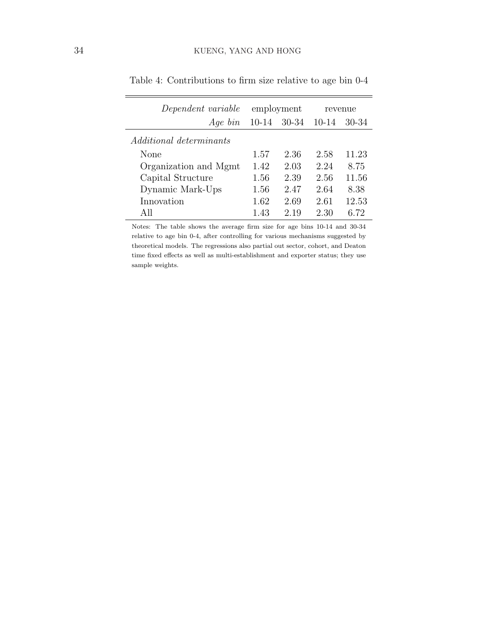| Dependent variable             |           | employment | revenue |       |
|--------------------------------|-----------|------------|---------|-------|
| $Aqe\ bin$                     | $10 - 14$ | 30-34      | $10-14$ | 30-34 |
| <i>Additional determinants</i> |           |            |         |       |
| None                           | 1.57      | 2.36       | 2.58    | 11.23 |
| Organization and Mgmt          | 1.42      | 2.03       | 2.24    | 8.75  |
| Capital Structure              | 1.56      | 2.39       | 2.56    | 11.56 |
| Dynamic Mark-Ups               | 1.56      | 2.47       | 2.64    | 8.38  |
| Innovation                     | 1.62      | 2.69       | 2.61    | 12.53 |
| All                            | 1.43      | 2.19       | 2.30    | 6.72  |

<span id="page-35-0"></span>Table 4: Contributions to firm size relative to age bin 0-4

Notes: The table shows the average firm size for age bins 10-14 and 30-34 relative to age bin 0-4, after controlling for various mechanisms suggested by theoretical models. The regressions also partial out sector, cohort, and Deaton time fixed effects as well as multi-establishment and exporter status; they use sample weights.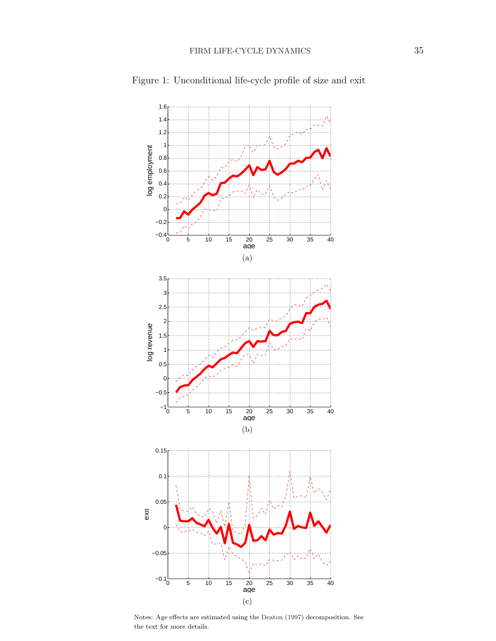

<span id="page-36-0"></span>Figure 1: Unconditional life-cycle profile of size and exit

<span id="page-36-1"></span>Notes: Age effects are estimated using the [Deaton](#page-30-14) [\(1997\)](#page-30-14) decomposition. See the text for more details.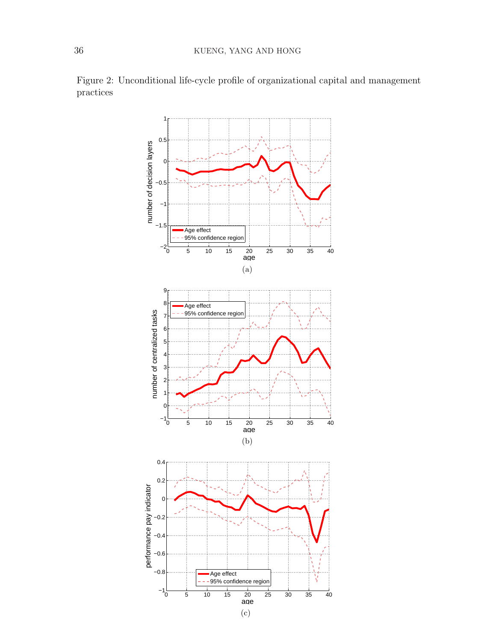<span id="page-37-2"></span><span id="page-37-1"></span>

<span id="page-37-0"></span>Figure 2: Unconditional life-cycle profile of organizational capital and management practices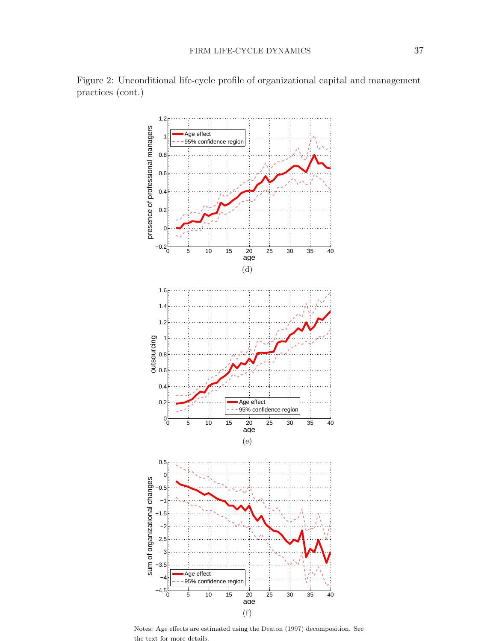

<span id="page-38-0"></span>Figure 2: Unconditional life-cycle profile of organizational capital and management practices (cont.)

<span id="page-38-2"></span><span id="page-38-1"></span>Notes: Age effects are estimated using the [Deaton](#page-30-14) [\(1997\)](#page-30-14) decomposition. See the text for more details.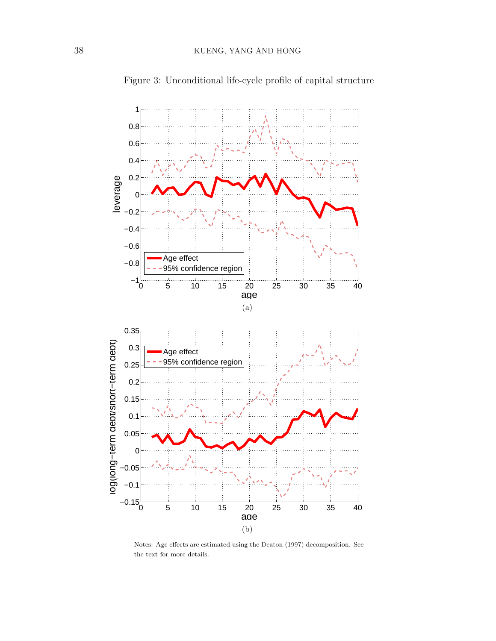<span id="page-39-0"></span>

Figure 3: Unconditional life-cycle profile of capital structure

<span id="page-39-1"></span>Notes: Age effects are estimated using the [Deaton](#page-30-14) [\(1997\)](#page-30-14) decomposition. See the text for more details.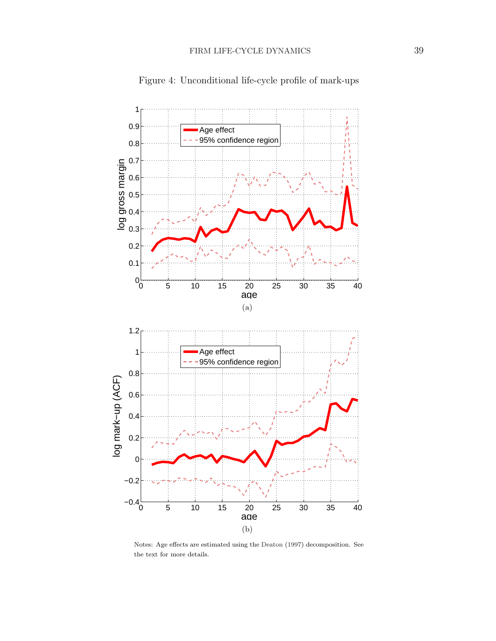<span id="page-40-0"></span>

Figure 4: Unconditional life-cycle profile of mark-ups

<span id="page-40-1"></span>Notes: Age effects are estimated using the [Deaton](#page-30-14) [\(1997\)](#page-30-14) decomposition. See the text for more details.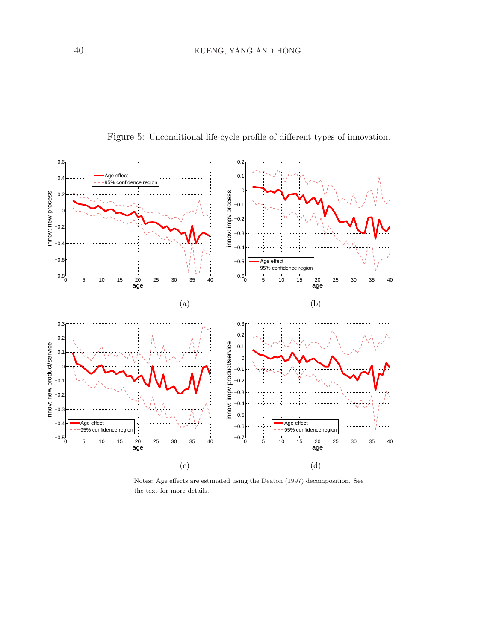<span id="page-41-0"></span>

<span id="page-41-1"></span>Figure 5: Unconditional life-cycle profile of different types of innovation.

<span id="page-41-3"></span><span id="page-41-2"></span>Notes: Age effects are estimated using the [Deaton](#page-30-14) [\(1997\)](#page-30-14) decomposition. See the text for more details.